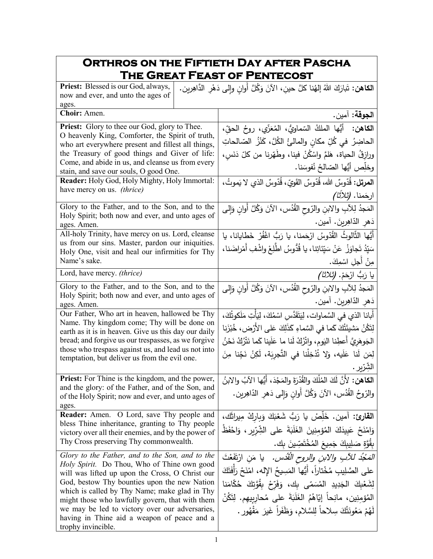## **Orthros on the Fiftieth Day after Pascha The Great Feast of Pentecost**

| Priest: Blessed is our God, always,<br>now and ever, and unto the ages of                            | ا <b>لكاهن:</b> تَبارَكَ اللهُ إلهُنا كلَّ حينِ، الآنَ وَكُلَّ أوانٍ وإلى دَهْرِ الدَّاهِرين. |
|------------------------------------------------------------------------------------------------------|-----------------------------------------------------------------------------------------------|
| ages.                                                                                                |                                                                                               |
| Choir: Amen.                                                                                         | ا <b>لجوقة:</b> آمين.                                                                         |
| <b>Priest:</b> Glory to thee our God, glory to Thee.                                                 | ا <b>لكاهن:</b> أيُّها الملكُ السّماويُّ، المُعَزّي، روحُ الحقِّ،                             |
| O heavenly King, Comforter, the Spirit of truth,                                                     | الحاضِرُ  في كُلِّ مكانِ والمالئُ الكُلَّ، كَنْزُ  الصّالحاتِ                                 |
| who art everywhere present and fillest all things,<br>the Treasury of good things and Giver of life: | ورازِقُ الحياة، هَلمَّ واسْكُنْ فينا، وطَهَرنا من كلّ دَنَسٍ،                                 |
| Come, and abide in us, and cleanse us from every                                                     |                                                                                               |
| stain, and save our souls, O good One.                                                               | وخلِّص أَيُّها الصّالحُ نُفوسَنا.                                                             |
| Reader: Holy God, Holy Mighty, Holy Immortal:                                                        | ا <b>لمرتل:</b> قُدّوسٌ الله، قُدّوسٌ القَويّ، قُدّوسٌ الذي لا يَموتُ،                        |
| have mercy on us. (thrice)                                                                           | ارحَمنا. <i>(ثلاثًا)</i>                                                                      |
| Glory to the Father, and to the Son, and to the                                                      | المَجدُ لِلآبِ والابنِ والرّوحِ القُدُسِ، الآنَ وَكُلَّ أَوانِ وَإِلَى                        |
| Holy Spirit; both now and ever, and unto ages of<br>ages. Amen.                                      | دَهرِ الدّاهِرينَ. آمين.                                                                      |
| All-holy Trinity, have mercy on us. Lord, cleanse                                                    | أَيُّها الثَّالوثُ القُدّوسُ ارْحَمنا، يا رَبُّ اغْفُرْ خَطايانا، يا                          |
| us from our sins. Master, pardon our iniquities.                                                     | سَيِّدُ تَجاوَزْ ۚ عَنْ سَيِّئَاتِنا، يا قُدُّوسُ اطّْلِعْ واشْفِ أَمْراضَنا،                 |
| Holy One, visit and heal our infirmities for Thy<br>Name's sake.                                     | مِنْ أُجِلِ اسْمِكَ.                                                                          |
| Lord, have mercy. (thrice)                                                                           | ِيا رَبُّ ارْحَمْ. <i>(ثلاثا)</i>                                                             |
| Glory to the Father, and to the Son, and to the                                                      | المَجْدُ لِلآبِ والابنِ والزّوحِ القُدُسِ، الآنَ وَكُلَّ أَوانِ وَإِلى                        |
| Holy Spirit; both now and ever, and unto ages of                                                     |                                                                                               |
| ages. Amen.                                                                                          | دَهرِ الدّاهِرينَ. آمين.                                                                      |
| Our Father, Who art in heaven, hallowed be Thy<br>Name. Thy kingdom come; Thy will be done on        | أبانا الذي في السَّماوات، لِيَتَقَدَّسِ اسْمُكَ، لِيَأْتِ مَلَكوتُكَ،                         |
| earth as it is in heaven. Give us this day our daily                                                 | لِتَكُنْ مَشيئَتُكَ كَما في السَّماءِ كَذَلِكَ عَلى الأَرْض، خُبْزَنِا                        |
| bread; and forgive us our trespasses, as we forgive                                                  | الجَوهَريَّ أَعطِنا اليَومِ، واتْرُكْ لَنا ما عَلَينا كَما نَتْرُكُ نَحْنُ                    |
| those who trespass against us, and lead us not into                                                  | لِمَن لَنا عَلَيه، وَلا تُدْخِلْنا في التَّجرِبَة، لَكِنْ نَجِّنا مِنَ                        |
| temptation, but deliver us from the evil one.                                                        | الشِرّير .                                                                                    |
| <b>Priest:</b> For Thine is the kingdom, and the power,                                              | ا <b>لكاهن:</b> لأَنَّ لَكَ المُلْكَ والقُدْرَةَ والمَجْدَ، أَيُّها الآبُ والابنُ             |
| and the glory: of the Father, and of the Son, and                                                    | والرّوحُ القُدُس، الآنَ وَكُلَّ أُوانٍ وَإِلى دَهْرِ الدّاهِرِينِ.                            |
| of the Holy Spirit; now and ever, and unto ages of                                                   |                                                                                               |
| ages.<br>Reader: Amen. O Lord, save Thy people and                                                   | القارئ: آمين. خَلِّصْ يا رَبُّ شَعْبَكَ وَبِارِكْ مِيراثَك،                                   |
| bless Thine inheritance, granting to Thy people                                                      |                                                                                               |
| victory over all their enemies, and by the power of                                                  | وَامْنَحْ عَبِيدَكَ الْمُؤْمِنِينَ الْغَلَبَةَ على الشِّرِّيرِ ، وَاحْفَظْ                    |
| Thy Cross preserving Thy commonwealth.                                                               | بِقُوَّةٍ صَلِيبِكَ جَمِيعَ الْمُخْتَصِّينَ بِك.                                              |
| Glory to the Father, and to the Son, and to the                                                      | <i>المَحْدُ للأَبِ والابن والروح القُدْس.</i> يا مَن ارْتَفَعْتَ                              |
| Holy Spirit. Do Thou, Who of Thine own good<br>will was lifted up upon the Cross, O Christ our       | على الصَّلِيبِ مُخْتاراً، أَيُّها المَسِيحُ اﻹله، امْنَحْ رَأَفَتَكَ                          |
| God, bestow Thy bounties upon the new Nation                                                         | لِشَعْبِكَ الْجَدِيدِ الْمُسَمّى بِكَ، وَفَرّحْ بِقُوَّتِكَ حُكَّامَنا                        |
| which is called by Thy Name; make glad in Thy                                                        | المُؤمِنِين، مانِحاً إِيّاهُمُ الغَلَبَةَ على مُحارِبِيهم. لِتَكُنْ                           |
| might those who lawfully govern, that with them<br>we may be led to victory over our adversaries,    |                                                                                               |
| having in Thine aid a weapon of peace and a                                                          | لَهُمْ مَعُونَتُكَ سِلاحاً لِلسَّلامِ، وَظَفَراً غَيرَ مَقْهُورٍ .                            |
| trophy invincible.                                                                                   |                                                                                               |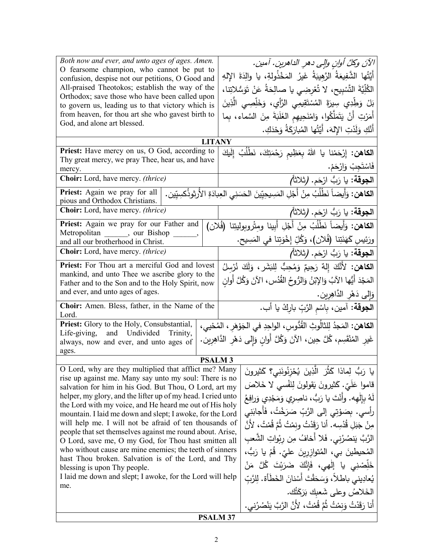| Both now and ever, and unto ages of ages. Amen.<br>O fearsome champion, who cannot be put to<br>confusion, despise not our petitions, O Good and<br>All-praised Theotokos; establish the way of the<br>Orthodox; save those who have been called upon<br>to govern us, leading us to that victory which is<br>from heaven, for thou art she who gavest birth to<br>God, and alone art blessed.                                                                                                                                                                                                                                                                                                                 |               |                                                                                                                                                                       | الآنَ وكلَّ أوانِ والِي دهرِ الداهرينِ. آمينِ.<br>أَيَّتُها الشَّفِيعَةُ الرَّهِيبَةُ غَيرُ المَخْذُولةِ، يا والِدَةَ الإِلهِ<br>الكُلِّيَّةَ التَّسْبِيحِ، لا تُعْرِضِي يا صالِحَةُ عَنْ تَوَسُّلاتِنا،<br>بَلْ وَطِّدِي سِيرَةَ المُسْتَقِيمِي الرَّأْيِ، وَخَلِّصِي الَّذِينَ<br>أَمَرْتِ أَنْ يَتَمَلَّكُوا، وَامْنَحِيهِم الغَلَبَةَ مِنَ السَّماء، بِما                                                                                                                                                                                                                      |
|----------------------------------------------------------------------------------------------------------------------------------------------------------------------------------------------------------------------------------------------------------------------------------------------------------------------------------------------------------------------------------------------------------------------------------------------------------------------------------------------------------------------------------------------------------------------------------------------------------------------------------------------------------------------------------------------------------------|---------------|-----------------------------------------------------------------------------------------------------------------------------------------------------------------------|------------------------------------------------------------------------------------------------------------------------------------------------------------------------------------------------------------------------------------------------------------------------------------------------------------------------------------------------------------------------------------------------------------------------------------------------------------------------------------------------------------------------------------------------------------------------------------|
|                                                                                                                                                                                                                                                                                                                                                                                                                                                                                                                                                                                                                                                                                                                |               |                                                                                                                                                                       | أَنَّكِ وَلَدْتِ الإِلهَ، أَيَّتُها المُبارَكَةُ وَحْدَكِ.                                                                                                                                                                                                                                                                                                                                                                                                                                                                                                                         |
|                                                                                                                                                                                                                                                                                                                                                                                                                                                                                                                                                                                                                                                                                                                | <b>LITANY</b> |                                                                                                                                                                       |                                                                                                                                                                                                                                                                                                                                                                                                                                                                                                                                                                                    |
| Priest: Have mercy on us, O God, according to<br>Thy great mercy, we pray Thee, hear us, and have                                                                                                                                                                                                                                                                                                                                                                                                                                                                                                                                                                                                              |               |                                                                                                                                                                       | ا <b>لكاهن:</b> إِرْحَمْنا يا اللهُ بِعَظِيم رَحْمَتِكَ، نَطْلُبُ إِلَيكَ<br>فَاسْتَجِبْ وَارْحَمْ.                                                                                                                                                                                                                                                                                                                                                                                                                                                                                |
| mercy.<br>Choir: Lord, have mercy. (thrice)                                                                                                                                                                                                                                                                                                                                                                                                                                                                                                                                                                                                                                                                    |               |                                                                                                                                                                       | ا <b>لجوقة:</b> يا رَبُّ ارْحَم. (ثلاثاً <i>)</i>                                                                                                                                                                                                                                                                                                                                                                                                                                                                                                                                  |
| Priest: Again we pray for all<br>pious and Orthodox Christians.                                                                                                                                                                                                                                                                                                                                                                                                                                                                                                                                                                                                                                                |               |                                                                                                                                                                       | ا <b>لكاهن:</b> وَأَيضاً نَطْلُبُ مِنْ أَجْلِ المَسِيحِيِّينَ الحَسَنِي العِبادَةِ الأُرثوذُكسِيِّين.                                                                                                                                                                                                                                                                                                                                                                                                                                                                              |
| Choir: Lord, have mercy. (thrice)                                                                                                                                                                                                                                                                                                                                                                                                                                                                                                                                                                                                                                                                              |               |                                                                                                                                                                       | ِ ا <b>لجوقة:</b> يا رَبُّ ارْحَم. <b>(</b> ثلاثاً <i>)</i>                                                                                                                                                                                                                                                                                                                                                                                                                                                                                                                        |
| Priest: Again we pray for our Father and                                                                                                                                                                                                                                                                                                                                                                                                                                                                                                                                                                                                                                                                       |               |                                                                                                                                                                       | ا <b>لكاهن:</b> وَأَيضاً نَطْلُبُ مِنْ أَجْلِ أَبينا ومتْروبوليتِنا (فُلان)                                                                                                                                                                                                                                                                                                                                                                                                                                                                                                        |
| Metropolitan, our Bishop<br>and all our brotherhood in Christ.                                                                                                                                                                                                                                                                                                                                                                                                                                                                                                                                                                                                                                                 |               |                                                                                                                                                                       | ورَئِيسِ كَهَنَتِنا (فُلان)، وَكُلِّ إِخْوَتِنا في المَسِيح.                                                                                                                                                                                                                                                                                                                                                                                                                                                                                                                       |
| <b>Choir:</b> Lord, have mercy. <i>(thrice)</i>                                                                                                                                                                                                                                                                                                                                                                                                                                                                                                                                                                                                                                                                |               |                                                                                                                                                                       | ا <b>لجوقة:</b> يا رَبُّ ارْحَم. (ثلاثاً)                                                                                                                                                                                                                                                                                                                                                                                                                                                                                                                                          |
| Priest: For Thou art a merciful God and lovest                                                                                                                                                                                                                                                                                                                                                                                                                                                                                                                                                                                                                                                                 |               |                                                                                                                                                                       | ا <b>لْكَاهْن:</b> لأَنَّكَ إِلَٰهٌ رَحِيمٌ وَمُحِبٌّ لِلبَشَرِ ، وَلَكَ نُرْسِلُ                                                                                                                                                                                                                                                                                                                                                                                                                                                                                                  |
| mankind, and unto Thee we ascribe glory to the                                                                                                                                                                                                                                                                                                                                                                                                                                                                                                                                                                                                                                                                 |               |                                                                                                                                                                       | المَجْدَ أَيُّها الآبُ وَالإِبْنُ وَالرُّوحُ القُدُسِ، الآنَ وَكُلَّ أُوانٍ                                                                                                                                                                                                                                                                                                                                                                                                                                                                                                        |
| Father and to the Son and to the Holy Spirit, now<br>and ever, and unto ages of ages.                                                                                                                                                                                                                                                                                                                                                                                                                                                                                                                                                                                                                          |               |                                                                                                                                                                       |                                                                                                                                                                                                                                                                                                                                                                                                                                                                                                                                                                                    |
| Choir: Amen. Bless, father, in the Name of the                                                                                                                                                                                                                                                                                                                                                                                                                                                                                                                                                                                                                                                                 |               |                                                                                                                                                                       | وَإِلَى دَهْرِ الدَّاهِرِينِ.                                                                                                                                                                                                                                                                                                                                                                                                                                                                                                                                                      |
| Lord.                                                                                                                                                                                                                                                                                                                                                                                                                                                                                                                                                                                                                                                                                                          |               |                                                                                                                                                                       | ا <b>لجوقة</b> : آمين، بِاسْمِ الرَّبِّ باركْ يا أب.                                                                                                                                                                                                                                                                                                                                                                                                                                                                                                                               |
| Priest: Glory to the Holy, Consubstantial,<br>Life-giving, and Undivided Trinity,<br>always, now and ever, and unto ages of<br>ages.                                                                                                                                                                                                                                                                                                                                                                                                                                                                                                                                                                           |               | ا <b>لكاهن:</b> المَجدُ لِلثالُوثِ القُدُّوسِ، الواحِدِ في الجَوْهَرِ ، المُحْيي،<br>غَيرِ المُنْقَسِم، كُلَّ حِين، الآنَ وَكُلَّ أُوانِ وَإِلى دَهْرِ الدَّاهِرِينِ. |                                                                                                                                                                                                                                                                                                                                                                                                                                                                                                                                                                                    |
| <b>PSALM3</b><br>0 Lord, why are they multiplied that afflict me? Many   وَبُ لِمِاذا كَثْرَ الَّذِينَ يُحْزِنُونَنِي؟ كَثيرونَ                                                                                                                                                                                                                                                                                                                                                                                                                                                                                                                                                                                |               |                                                                                                                                                                       |                                                                                                                                                                                                                                                                                                                                                                                                                                                                                                                                                                                    |
| rise up against me. Many say unto my soul: There is no<br>salvation for him in his God. But Thou, O Lord, art my<br>helper, my glory, and the lifter up of my head. I cried unto<br>the Lord with my voice, and He heard me out of His holy<br>mountain. I laid me down and slept; I awoke, for the Lord<br>will help me. I will not be afraid of ten thousands of<br>people that set themselves against me round about. Arise,<br>O Lord, save me, O my God, for Thou hast smitten all<br>who without cause are mine enemies; the teeth of sinners<br>hast Thou broken. Salvation is of the Lord, and Thy<br>blessing is upon Thy people.<br>I laid me down and slept; I awoke, for the Lord will help<br>me. |               |                                                                                                                                                                       | قاموا عَلَيّ. كَثيرونَ يَقولونَ لِنَفْسَى لا خَلاصَ<br>لَهُ بِإِلْهِهِ. وأَنْتَ يا رَبُّ، ناصِرِي وَمَجْدِي وَرافِعُ<br>رأسي. بِصَوْتِي إِلَى الرَّبِّ صَرَخْتُ، فَأَجابَنِي<br>مِنْ جَبَلِ قُدْسِه. أنا رَقَدْتُ ونِمْتُ ثُمَّ قُمْتُ، لأَنَّ<br>الرَّبَّ يَنصُرُني. فَلا أخافُ مِن رِبْواتِ الشَّعبِ<br>المُحيطينَ بي، المُتوازِرينَ عليّ. قُمْ يا رَبُّ،<br>خَلِصْنِي يا إلْهي، فَإِنَّكَ ضَرَبْتَ كُلَّ مَنْ<br>يُعادِيني باطلاً، وَسَحَقْتَ أَسْنانَ الخَطَأة. لِلرَّبّ<br>الخَلاصُ وعلى شَعبك بَرَكَتُك.<br>أَنا رَقَدْتُ وَنِمْتُ ثُمَّ قُمْتُ، لأَنَّ الرَّبَّ يَنْصُرُني. |
|                                                                                                                                                                                                                                                                                                                                                                                                                                                                                                                                                                                                                                                                                                                |               | <b>PSALM 37</b>                                                                                                                                                       |                                                                                                                                                                                                                                                                                                                                                                                                                                                                                                                                                                                    |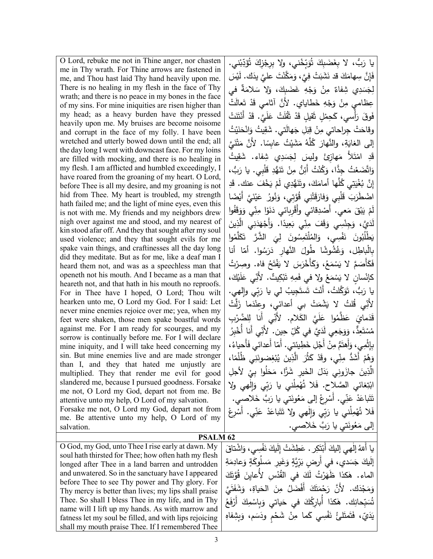O Lord, rebuke me not in Thine anger, nor chasten me in Thy wrath. For Thine arrows are fastened in me, and Thou hast laid Thy hand heavily upon me. There is no healing in my flesh in the face of Thy wrath; and there is no peace in my bones in the face of my sins. For mine iniquities are risen higher than my head; as a heavy burden have they pressed heavily upon me. My bruises are become noisome and corrupt in the face of my folly. I have been wretched and utterly bowed down until the end; all the day long I went with downcast face. For my loins are filled with mocking, and there is no healing in my flesh. I am afflicted and humbled exceedingly, I have roared from the groaning of my heart. O Lord, before Thee is all my desire, and my groaning is not hid from Thee. My heart is troubled, my strength hath failed me; and the light of mine eyes, even this is not with me. My friends and my neighbors drew nigh over against me and stood, and my nearest of kin stood afar off. And they that sought after my soul used violence; and they that sought evils for me spake vain things, and craftinesses all the day long did they meditate. But as for me, like a deaf man I heard them not, and was as a speechless man that openeth not his mouth. And I became as a man that heareth not, and that hath in his mouth no reproofs. For in Thee have I hoped, O Lord; Thou wilt hearken unto me, O Lord my God. For I said: Let never mine enemies rejoice over me; yea, when my feet were shaken, those men spake boastful words against me. For I am ready for scourges, and my sorrow is continually before me. For I will declare mine iniquity, and I will take heed concerning my sin. But mine enemies live and are made stronger than I, and they that hated me unjustly are multiplied. They that render me evil for good slandered me, because I pursued goodness. Forsake me not, O Lord my God, depart not from me. Be attentive unto my help, O Lord of my salvation. Forsake me not, O Lord my God, depart not from me. Be attentive unto my help, O Lord of my salvation.

يا رَبُّ، لا بِغَضَبِكَ تُوَبِّخْني، ولا بِرِجْزِكَ تُؤَدِّبْني.<br>يَا رَبُّ، لا بِغَضَبِكَ تُوَبِّخْني، ولا بِرِجْزِكَ تُؤَدِّبْني. ֺ**ֺ** فَإِنَّ سِهامَكَ قد نَشَبَتْ فِيَّ، وَمَكَّنْتَ عليَّ يدَك. لَيْسَ<br>\* َ لِجَسَدِي شِفاءٌ مِنْ وَجْهِ غَضَبِكَ، وَلا سَلامَةٌ في<br>أَءَ دَسَمَةٍ مِنْ الْجَسَمِينَ عِظامي مِنْ وَجْهِ خَطايايي. لأَنَّ آثامي قَدْ تَعالَتْ<br>ِ فَوقَ رَأْسي، كَحِمْلٍ ثَقَلِلٍ قَدْ ثَقُلَتْ عَلَيَّ. قَدْ أُنْتَنَتْ ا<br>ا وقاحَتْ جِراحاتي مِنْ قِبَلِ جَهالَتي. شَقِيتُ وَانْحَنَيْتُ<br>. إلى الغايَةِ، والنَّهارَ كُلَّهُ مَشَيْتُ عابِسًا. لأَنَّ مَتْنَيَّ<br>ك یت ُ ِ دِ امْتَلأَ مَهازِئَ وليسَ لِجَسَدِي شِفاء. شَقِ<br>-ا<br>ا َد ق وَاتَّضَعْتُ جِدًّا، وَكُنْتُ أَئِنُّ مِنْ تَنَهُّدِ قَلْبِي. يا رَبُّ،<br>عَصَدَهُ ِ َد َ ْخ َف عنك. ق � ْ َم ِي ل َ ُّهد ن َ ،َ وت َك َّها أمام ُل ِي � ت َ ْی ُغ ِ َّن � إ ْ ًضا َ َّي أَ� ن ی َ ُ ع ُور ن َ َُّوِتي، و ِي ق ْن َت ق َ َفار َْلِبي و َ ق َب ْ اض َطر **ّ** لَمْ يَبْقَ مَعي. أَصْدِقائي وأَقْرِبائي دَنَوْا مِنِّي وَوَقَفُوا ُبا لَدَيَّ، وَجِنْسِي وَقَفَ مِنِّي بَعِيدًا. وَأَجْهَدَنِي الَّذِينَ<br>ثُمُّتَ الْجَمَعَةِ ْ يَطْلُبُونَ نَفْسِي، وَالمُلْتَمِسُونَ لِيَ الشَّرَّ تَكَلَّمُوا<br>" في المُسْمِدة الصَّارِفَ الصَّارِفِ الصَّارِفِ الصَّارِفِ الصَّارِفِ .<br>م بِالْباطِل، وَغُشُوشًا طُولَ النَّهارِ دَرَسُوا. أمّا أنا<br>يَبِيَّةُ فَكَأَصَمَّ لا يَسْمَعُ، وَكَأَخْرَسَ لا يَفْتَحُ فاه. وصِرْتُ<br>. كإنْسانٍ لا يَسْمَعُ ولا في فَمِهِ تَبْكِيتٌ. لأَنِّي عَلَيْكَ،<br>مَانْسانِ لا يَسْمَعُ ولا في فَمِهِ تَبْكِيتٌ. لأَنِّي عَلَيْكَ، يا رَبٌ، تَوَكَّلتُ، أَنْتَ تَستَجِيبُ لي يا رَبِّي والصي.<br>-نِّي قُلتُ لا يَشْمَتْ بي أعدائيٍ، وعِنْدَما زَلَّتْ ֞<u>֓</u> لأَن ِّ عَظُّمُوا عَلَيَّ الكَلام. لأَنِّي أَنا لِلضَّرْبِ<br>\* َماي ةَدَ<br>قد ق مُسْتَعِدٌٌ، وَوَجَعِي لَدَيَّ في كُلِّ حِينٍ. لأَنِّي أَنا أُخْبِرُ<br>\* بِإِثْمِي، وَأَهتَمُّ مِنْ أَجْلِ خَطِيئتي. أَمّا أَعدائي فَأَحياءُ،<br>مَثَلِينَ أَجَلَهُ **ٔ** وَهُمْ أَشَدُّ مِنِّي، وقَدْ كَثُرَ الَّذِينَ يُبْغِضونَنِي ظُلُمًا، الَّذِينَ جازَونِي بَدَلَ الخَيرِ شَرًّا، مَحَلُوا بِيُّ لأَجلِ<br>نفسه المَصَادِ مَيْنِ مُوَلِّدَةٍ وَالْمُوَاسِيِّينَ مِنْ ابْتِغائي الصَّلاح. فَلا تُهْمِلْني يا رَبِّي وَإِلٰهي ولا<br>. تَتَباعَدْ عَنِّي. أُسْرِعْ إلى مَعُونَتي يا رَبَّ خَلاصي.<br>يَسْمَدُ مَنِّي. ْ ۶<br>أ فَلا تُهْمِلْني يا رَبِّي وَإِلٰهي ولا تَتَباعَدْ عَنِّي. أَسْرِعْ ْ إلى مَعُونَتي يا رَبَّ خَلاصي.<br>.

## **PSALM 62**

O God, my God, unto Thee I rise early at dawn. My soul hath thirsted for Thee; how often hath my flesh longed after Thee in a land barren and untrodden and unwatered. So in the sanctuary have I appeared before Thee to see Thy power and Thy glory. For Thy mercy is better than lives; my lips shall praise Thee. So shall I bless Thee in my life, and in Thy name will I lift up my hands. As with marrow and fatness let my soul be filled, and with lips rejoicing shall my mouth praise Thee. If I remembered Thee يا أَللهُ إِلٰهِي إِليكَ أَبْتَكِر . عَطِشَتْ إِلَيكَ نَفْسِي، وَاشْتاقَ <u>ٌ</u> ْ َدي، في أَ َس َ ج َ�ك ِ إل َة ِم َعاد ٍ و َة ُو� َسل َ َغ ِیر م ٍ و َِّ�ة ّ َر ٍ رض ب َ َك َُّوت َ ق ْ ِس ِ لأُعاین ُد َ في الق َك ْ ُت ل َر ٰ الماء. ه َ كذا ظه وَمَجْدَك. لأَنَّ رَجْمَتَكَ أَفْضَلُ مِنَ الْحَياةِ، وَشَفَتَيَّ<br>. تُسَبِّحانِك. هٰكذا أُبارِكُكَ في حَياتي وَبِاسْمِكَ أَرْفَعُ<br>-.<br>ا ً<br>ا يَدَيّ، فَتَمتَلئُ نَفْسِي كَما مِنْ شَحْمٍ ودَسَم، وَبِشِفاهِ <u>ٌ</u> َ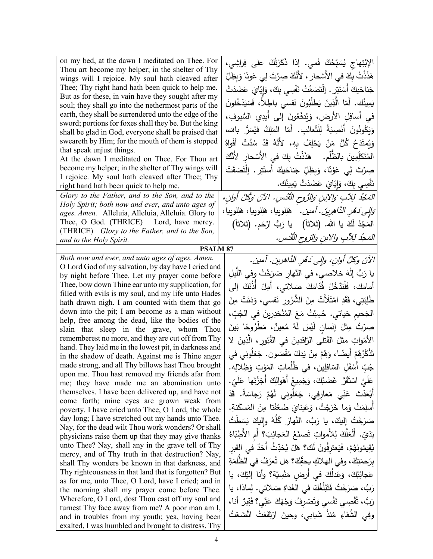| on my bed, at the dawn I meditated on Thee. For<br>Thou art become my helper; in the shelter of Thy<br>wings will I rejoice. My soul hath cleaved after<br>Thee; Thy right hand hath been quick to help me.<br>But as for these, in vain have they sought after my<br>soul; they shall go into the nethermost parts of the | الإِبْتِهاج يُسَبِّحُكَ فَمي. إذا ذَكَرْتُكَ على فِراشِي،<br>هَذَنْتُ بِكَ في الأَسْحارِ ، لأَنَّكَ صِرْتَ لِي عَونًا وَبِظِلِّ<br>جَناحَيكَ أَسْتَتِرٍ . اِلْتَصَقَتْ نَفْسِى بِكَ، وَإِيّايَ عَضَدَتْ<br>يَمِينُك. أمّا الَّذِينَ يَطْلُبُونَ نَفسى باطِلاً، فَسَيَدْخُلونَ |
|----------------------------------------------------------------------------------------------------------------------------------------------------------------------------------------------------------------------------------------------------------------------------------------------------------------------------|-------------------------------------------------------------------------------------------------------------------------------------------------------------------------------------------------------------------------------------------------------------------------------|
| earth, they shall be surrendered unto the edge of the<br>sword; portions for foxes shall they be. But the king                                                                                                                                                                                                             | في أسافِلِ الأرض، وَيُدفَعُونَ إلى أيدِي السُّيوفِ،                                                                                                                                                                                                                           |
| shall be glad in God, everyone shall be praised that                                                                                                                                                                                                                                                                       | وَيَكُونُونَ أَنْصِبَةً لِلْثَعالبِ. أَمّا المَلِكُ فيُسَرُّ بالله،                                                                                                                                                                                                           |
| sweareth by Him; for the mouth of them is stopped<br>that speak unjust things.                                                                                                                                                                                                                                             | وَيُمتَدَحُ كُلُّ مَنْ يَحْلِفُ بِهِ، لأَنَّهُ قَدْ سُدَّتْ أَفْواهُ                                                                                                                                                                                                          |
| At the dawn I meditated on Thee. For Thou art                                                                                                                                                                                                                                                                              | المُتَكَلِّمِينَ بِالظَّلْمِ.     هَذَذْتُ بِكَ في الأَسْحارِ  لأَنَّكَ                                                                                                                                                                                                       |
| become my helper; in the shelter of Thy wings will                                                                                                                                                                                                                                                                         | صِرْتَ لِي عَوْنًا، وَبِظِلِّ جَناحَيكَ أَستَتِرٍ . إِنْتَصَقَتْ                                                                                                                                                                                                              |
| I rejoice. My soul hath cleaved after Thee; Thy                                                                                                                                                                                                                                                                            |                                                                                                                                                                                                                                                                               |
| right hand hath been quick to help me.                                                                                                                                                                                                                                                                                     | نَفْسِي بِكَ، وَإِيّايَ عَضَدَتْ يَمِينُك.                                                                                                                                                                                                                                    |
| Glory to the Father, and to the Son, and to the                                                                                                                                                                                                                                                                            | المَعْبُدُ لِلِآبِ وَالِإِبْنِ وَالرُّوحِ الْقُدْسِ. الآنَ وَكُلَّ أُوانِ،                                                                                                                                                                                                    |
| Holy Spirit; both now and ever, and unto ages of<br>ages. Amen. Alleluia, Alleluia, Alleluia. Glory to                                                                                                                                                                                                                     | <i>َوَالِي دَهْرِ الدَّاهِرِينَ. آمين.</i> هَلِلوييا، هَلِلوييا، هَلِلوييا،                                                                                                                                                                                                   |
| Thee, O God. (THRICE) Lord, have mercy.                                                                                                                                                                                                                                                                                    |                                                                                                                                                                                                                                                                               |
| (THRICE) Glory to the Father, and to the Son,                                                                                                                                                                                                                                                                              | المَجْدُ لَكَ يا الله. (ثلاثاً)   يا رَبُّ ارْحَم. (ثلاثاً)                                                                                                                                                                                                                   |
| and to the Holy Spirit.                                                                                                                                                                                                                                                                                                    | المَحدُ للِآبِ والإبنِ والزوحِ القُدْسِ.                                                                                                                                                                                                                                      |
| <b>PSALM 87</b>                                                                                                                                                                                                                                                                                                            |                                                                                                                                                                                                                                                                               |
| Both now and ever, and unto ages of ages. Amen.                                                                                                                                                                                                                                                                            | الآنَ وكلَّ أوانِ، وإلى دَهْرِ الدَّاهرينِ. آمين.                                                                                                                                                                                                                             |
| O Lord God of my salvation, by day have I cried and                                                                                                                                                                                                                                                                        |                                                                                                                                                                                                                                                                               |
| by night before Thee. Let my prayer come before                                                                                                                                                                                                                                                                            | يا رَبُّ إلٰهَ خلاصي، في النَّهارِ صَرَخْتُ وفي اللَّيلِ                                                                                                                                                                                                                      |
| Thee, bow down Thine ear unto my supplication, for                                                                                                                                                                                                                                                                         | أَمامَكَ، فَلْتَدْخُلْ قُدّامَكَ صَلاتي، أَمِلْ أَذُنَكَ إِلَى                                                                                                                                                                                                                |
| filled with evils is my soul, and my life unto Hades                                                                                                                                                                                                                                                                       | طَٰلِبَتِي، فَقَدِ امْتَلَأْتْ مِنَ الشَّرُورِ نَفسى، وَدَنَتْ مِنَ                                                                                                                                                                                                           |
| hath drawn nigh. I am counted with them that go<br>down into the pit; I am become as a man without                                                                                                                                                                                                                         |                                                                                                                                                                                                                                                                               |
| help, free among the dead, like the bodies of the                                                                                                                                                                                                                                                                          | الجَحيم حَياتي. حُسِبْتُ مَعَ المُنْحَدِرِينَ في الجُبِّ،                                                                                                                                                                                                                     |
| slain that sleep in the grave, whom Thou                                                                                                                                                                                                                                                                                   | صِرْتُ مِثْلَ إِنْسانِ لَيْسَ لَهُ مُعِينٌ، مَطْرُوحًا بَينَ                                                                                                                                                                                                                  |
| rememberest no more, and they are cut off from Thy<br>hand. They laid me in the lowest pit, in darkness and                                                                                                                                                                                                                | الأَمْواتِ مثلَ القَتلى الرّاقدِينَ في القُبُورِ ، الَّذِينَ لا                                                                                                                                                                                                               |
| in the shadow of death. Against me is Thine anger                                                                                                                                                                                                                                                                          | تَذْكُرُهُمْ أَيضًا، وَهُمْ مِنْ يَدِكَ مُقْصَون. جَعَلُوني في                                                                                                                                                                                                                |
| made strong, and all Thy billows hast Thou brought                                                                                                                                                                                                                                                                         | جُبِّ أَسْفَلِ السّافِلِين، في ظُلُماتِ المَوْتِ وَظِلالِه.                                                                                                                                                                                                                   |
| upon me. Thou hast removed my friends afar from                                                                                                                                                                                                                                                                            | عَلَيَّ اسْتَقَرَّ  غَضَبُكَ، وَجَمِيعُ أَهْوالِكَ أَجَزْتَها  عَلَىّ.                                                                                                                                                                                                        |
| me; they have made me an abomination unto<br>themselves. I have been delivered up, and have not                                                                                                                                                                                                                            |                                                                                                                                                                                                                                                                               |
| come forth; mine eyes are grown weak from                                                                                                                                                                                                                                                                                  | أَبْعَدْتَ عَنِّي مَعارِفِي، جَعَلُونِي لَهُمْ رَجاسَةً. قَدْ                                                                                                                                                                                                                 |
| poverty. I have cried unto Thee, O Lord, the whole                                                                                                                                                                                                                                                                         | أسلِمْتُ وَما خَرَجْتُ، وَعَيناىَ ضَعُفَتا مِنَ المَسكَنةِ.                                                                                                                                                                                                                   |
| day long; I have stretched out my hands unto Thee.                                                                                                                                                                                                                                                                         | صَرَخْتُ إليكَ، يا رَبُّ، النَّهارَ كُلَّهُ وإليكَ بَسَطْتُ                                                                                                                                                                                                                   |
| Nay, for the dead wilt Thou work wonders? Or shall                                                                                                                                                                                                                                                                         | يَدَيّ. أَلَعَلَّكَ لِلأَمواتِ تَصنَعُ العَجائِبَ؟ أم الأطِبّاءُ                                                                                                                                                                                                              |
| physicians raise them up that they may give thanks                                                                                                                                                                                                                                                                         |                                                                                                                                                                                                                                                                               |
| unto Thee? Nay, shall any in the grave tell of Thy                                                                                                                                                                                                                                                                         | يُقِيمُونَهُمْ، فَيَعترفُونَ لَك؟ هَلْ يُحَدِّثُ أَحَدٌ في القبر                                                                                                                                                                                                              |
| mercy, and of Thy truth in that destruction? Nay,<br>shall Thy wonders be known in that darkness, and                                                                                                                                                                                                                      | بِرَحمَتِكَ، وفي الهلاكِ بحقِّكَ؟ هل تُعرَفُ في الظُّلمَةِ                                                                                                                                                                                                                    |
| Thy righteousness in that land that is forgotten? But                                                                                                                                                                                                                                                                      |                                                                                                                                                                                                                                                                               |
| as for me, unto Thee, O Lord, have I cried; and in                                                                                                                                                                                                                                                                         | عَجائِبُكَ، وَعَدْلُكَ في أُرضٍ مَنْسِيَّة؟ وأنا إليْكَ، يا                                                                                                                                                                                                                   |
| the morning shall my prayer come before Thee.                                                                                                                                                                                                                                                                              | رَبُّ، صَرَخْتُ فَتَبْلُغُكَ في الغَداةِ صَلاتي. لِماذا، يا                                                                                                                                                                                                                   |
| Wherefore, O Lord, dost Thou cast off my soul and                                                                                                                                                                                                                                                                          | رَبُّ، تُقْصِى نَفْسى وَتَصْرِفُ وَجْهَكَ عَنِّى؟ فَقِيرٌ أَنا،                                                                                                                                                                                                               |
| turnest Thy face away from me? A poor man am I,                                                                                                                                                                                                                                                                            |                                                                                                                                                                                                                                                                               |
| and in troubles from my youth; yea, having been                                                                                                                                                                                                                                                                            | وفي الشَّقاءِ مُنذُ شَبابي، وحينَ ارْتَفَعْتُ اتَّضَعْتُ                                                                                                                                                                                                                      |
| exalted, I was humbled and brought to distress. Thy                                                                                                                                                                                                                                                                        |                                                                                                                                                                                                                                                                               |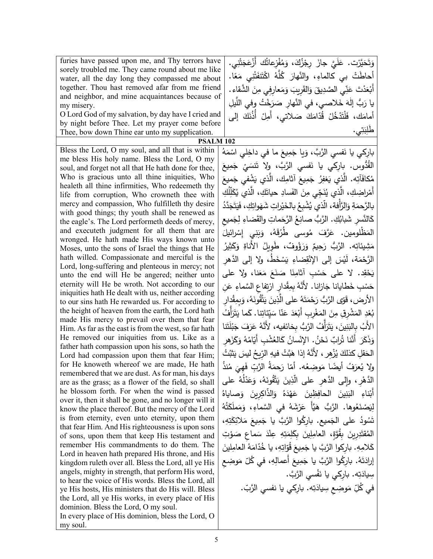furies have passed upon me, and Thy terrors have sorely troubled me. They came round about me like water, all the day long they compassed me about together. Thou hast removed afar from me friend and neighbor, and mine acquaintances because of my misery.

O Lord God of my salvation, by day have I cried and by night before Thee. Let my prayer come before Thee, bow down Thine ear unto my supplication.

Bless the Lord, O my soul, and all that is within me bless His holy name. Bless the Lord, O my soul, and forget not all that He hath done for thee, Who is gracious unto all thine iniquities, Who healeth all thine infirmities, Who redeemeth thy life from corruption, Who crowneth thee with mercy and compassion, Who fulfilleth thy desire with good things; thy youth shall be renewed as the eagle's. The Lord performeth deeds of mercy, and executeth judgment for all them that are wronged. He hath made His ways known unto Moses, unto the sons of Israel the things that He hath willed. Compassionate and merciful is the Lord, long-suffering and plenteous in mercy; not unto the end will He be angered; neither unto eternity will He be wroth. Not according to our iniquities hath He dealt with us, neither according to our sins hath He rewarded us. For according to the height of heaven from the earth, the Lord hath made His mercy to prevail over them that fear Him. As far as the east is from the west, so far hath He removed our iniquities from us. Like as a father hath compassion upon his sons, so hath the Lord had compassion upon them that fear Him; for He knoweth whereof we are made, He hath remembered that we are dust. As for man, his days are as the grass; as a flower of the field, so shall he blossom forth. For when the wind is passed over it, then it shall be gone, and no longer will it know the place thereof. But the mercy of the Lord is from eternity, even unto eternity, upon them that fear Him. And His righteousness is upon sons of sons, upon them that keep His testament and remember His commandments to do them. The Lord in heaven hath prepared His throne, and His kingdom ruleth over all. Bless the Lord, all ye His angels, mighty in strength, that perform His word, to hear the voice of His words. Bless the Lord, all ye His hosts, His ministers that do His will. Bless the Lord, all ye His works, in every place of His dominion. Bless the Lord, O my soul. In every place of His dominion, bless the Lord, O my soul.

ْ وَتَحَيَّرْت. عَلَيَّ جازَ رِجْزُكَ، وَمُفْزِعاتُك أَزْعَجَتْنِي.<br>ُ ٔ َ أحاطَتْ بي كالماءِ، والنَّهارَ كُلَّهُ اكْتَنفَتْنِي مَعًا.<br>أ أَبْعَدْتَ عَذِّي الصَّدِيقَ وَالقَرِيبَ وَمَعارِفِي مِنَ الشَّقاءِ.<br>أَ يا رَبُّ إِلٰهَ خَلاصي، في النَّهارِ صَرَخْتُ وفي اللَّيلِ<br>ّ أمامَك، فَلْتَدْخُلْ قُدّامَكَ صَلاتي، أَمِلْ أَذُنَكَ إلى .<br>: ِب **∶** طلِبَتِي. ت

**PSALM 102**

بارِكي يا نَفسي الرَّبَّ، وَيا جَمِيعَ ما في داخِلي اسْمَهُ<br>وُم القُدُّوس. بارِكي يا نَفسي الرَّبَّ، ولا تَنسَيْ جَمِيعَ<br>مصنة مُكافَأتِه. الَّذِي يَغفِرُ جَمِيعَ آثامِك، الَّذي يَشْفي جَميعَ<br>مَ أَمْراضِكِ، الَّذِي يُنَجِّي مِنَ الفَسادِ حياتَكِ، الَّذي يُكَلِّلُكِ<br>. بالرَّحمَةِ وَالرَّأْفة، الَّذي يُشْبِعُ بالخَيْراتِ شَهَواتِكِ، فَيَتَجَدَّدُ<br>م كَالنَّسِرِ شَبابُكِ. الرَّبُّ صانِعُ الرَّحَماتِ والقَضاءِ لِجَميعِ<br>\* المَظْلومين. عَرَّفَ مُوسى طُرُقَهُ، وَبَنِي إِسْرائيلَ َحِيمٌ وَرَؤُوفٌ، طَوِيلُ الأَناةِ وَدَ مَثِينَاتِه. الرَّبُّ رَحِيمٌ وَرَؤُوفٌ، طَوِيلُ الأَناةِ وَكَثِيرُ ً<br>ً الرَّحْمَة، لَيْسَ إلى الإِنْقِضاءِ يَسْخَطُ، ولا إلى الدَّهرِ يَحْقِد. لا على حَسْبِ أثامِنَا صَنَعَ مَعَنا، ولا على حَسْبِ خَطايانا جَازانا. لأَنَّهُ بِمِقْدارٍ ارْتِفاعِ السَّماءِ عَنِ .<br>ا الأرض، قَوّى الرَّبُّ رَحْمَتَهُ على الَّذِينَ يَتَّقُونَهُ، وَبِمِقْدارِ<br>. بُعْدِ المَشْرِقِ مِنَ المَغْرِبِ أَبْعَدَ عَنّا سَيّئاتِنا. كَما يَتَزَأَّفُ<br>فَيَسْتَمْسِينَ مِنَ المَغْرِبِ أَبْعَدَ عَنّا سَيّئاتِنا. كَما يَتَزَأَّفُ َ الأَبُ بِالبَنِينَ، يَتَرَأَّفُ الرَّبُّ بِخائفيه، لأَنَّهُ عَرَفَ جَبْلَتَنا **ٔ** وَذَكَرَ أَنَّنا تُرابٌ نَحْنُ. الإِنْسانُ كَالعُشْبِ أَيَامُهُ وَكَزَهرِ<br>وَذَكَرَ أَنَّنا تُرابٌ نَحْنُ. الإِنْسانُ كَالعُشْبِ أَيَامُهُ وَكَزَهرِ الْحَقْلِ كذلكَ يُزْهِر ، لأَنَّهُ إذا هَبَّتْ فيهِ الرِّيحُ ليسَ يَتْبُتُ ولا يُعرَفُ أيضًا مَوضِعُه. أمّا رَحمَةُ الرَّبِّ فَهِيَ مُنذُ<br>" الدَّهْرِ ، وإِلى الدَّهرِ على الَّذِينَ يَتَّقُونَهُ، وَعَذْلُهُ على<br>أ ا<br>أ أَبْناءِ البَنِينَ الحافِظِينَ عَهْدَهُ وَالذَّاكِرِينَ وَصاياهُ<br>. .<br>ا لِيَصْنَعُوها. الرَّبُّ هَيَّأَ عَرْشَهُ في السَّماءِ، وَمَملَكَتُهُ<br>ِ لِيَصْنَعُوها. الرَّبُّ هَيَّا عَرْشَهُ في السَّماءِ، وَمَملكَتَهُ<br>تَسُودُ على الجَميع. بارِكُوا الرَّبَّ يا جَمِيعَ مَلائِكَتِهِ، المُقتَدِرِينَ بِقُوَّةٍ، العامِلِينَ بِكَلِمَتِهِ عِنْدَ سَماعِ صَوْتِ<br>. ْ كَلامِهِ. بارِكوا الرَّبَّ يا جَمِيعَ قُوِّاتِهِ، يا خُدّامَهُ العامِلينَ<br>مَدَّ إرادَتَهُ. بارِكُوا الرَّبَّ يا جَمِيعَ أَعمالِهِ، في كُلّ مَوضِعِ سِيادَتِه. بارِكي يا نَفْسي الرَّبَّ. في كُلِّ مَوضِعِ سِيادَتِه. بارِكي يا نفسي الرَّبّ.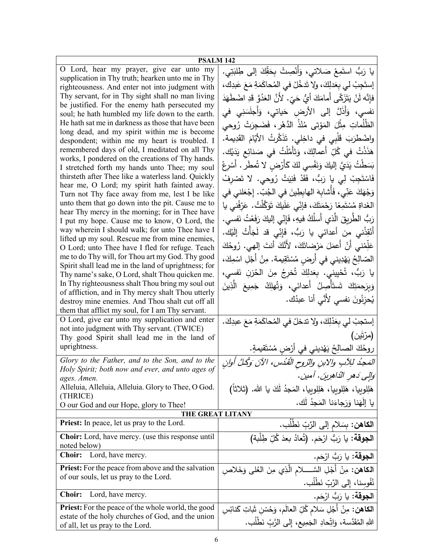| <b>PSALM 142</b>                                                                                     |                                                                              |  |
|------------------------------------------------------------------------------------------------------|------------------------------------------------------------------------------|--|
| O Lord, hear my prayer, give ear unto my                                                             | يا رَبُّ استَمِعْ صَلاتي، وَأَنْصِتْ بِحَقِّكَ إلى طِلبَتِي.                 |  |
| supplication in Thy truth; hearken unto me in Thy<br>righteousness. And enter not into judgment with | إِستَجِبْ لَى بِعَدلِكَ، ولا تَدخُلْ في المُحاكَمَةِ مَعَ عَبدِكَ،           |  |
| Thy servant, for in Thy sight shall no man living                                                    | فإِنَّه لَنْ يَتَزَكَّى أَمامَكَ أَيُّ حَيّ. لأَنَّ العَذُوَّ قَدِ اضْطَهَدَ |  |
| be justified. For the enemy hath persecuted my                                                       |                                                                              |  |
| soul; he hath humbled my life down to the earth.                                                     | نفسي، وَأَذَلَّ إلى الأرض حَياتي، وَأَجلَسَنِي في                            |  |
| He hath sat me in darkness as those that have been                                                   | الظُلُماتِ مِثْلَ المَوْتي مُنْذُ الدَّهْرِ ، فَضَجِرَتْ رُوحي               |  |
| long dead, and my spirit within me is become<br>despondent; within me my heart is troubled. I        | واضْطْرَبَ قَلْبِي في داخِلي. تَذَكَّرتُ الأيّامَ القَدِيمة.                 |  |
| remembered days of old, I meditated on all Thy                                                       | هَذَذْتُ في كُلِّ أَعمالِكَ، وَتَأَمَّلْتُ في صَنائِع يَدَيْك.               |  |
| works, I pondered on the creations of Thy hands.                                                     | بَسَطْتُ يَدَيَّ إِليكَ وَنَفْسِي لَكَ كَأَرْضٍ لا تُمطَّرٍ . أَسْرِعْ       |  |
| I stretched forth my hands unto Thee; my soul                                                        |                                                                              |  |
| thirsteth after Thee like a waterless land. Quickly<br>hear me, O Lord; my spirit hath fainted away. | فَاسْتَجِبْ لِي يا رَبُّ، فَقَدْ فَنِيَتْ رُوحي. لا تَصْرِفْ                 |  |
| Turn not Thy face away from me, lest I be like                                                       | وَجْهَكَ عَنِّي، فَأَشابِهَ الهابِطِينَ في الجُبِّ. إِجْعَلني في             |  |
| unto them that go down into the pit. Cause me to                                                     | الغَداةِ مُسْتَمِعًا رَحْمَتَكَ، فإنِّي عَلَيكَ تَوَكَّلْتُ. عَرّفْنى يا     |  |
| hear Thy mercy in the morning; for in Thee have<br>I put my hope. Cause me to know, O Lord, the      | رَبُّ الطَّرِيقَ الَّذي أَسلُكُ فيهِ، فَإِنِّي إليكَ رَفَعْتُ نَفسي.         |  |
| way wherein I should walk; for unto Thee have I                                                      | أَنْقِذْني من أعدائي يا رَبُّ، فَإِنِّي قد لَجَأْتُ إِلَيْك.                 |  |
| lifted up my soul. Rescue me from mine enemies,<br>O Lord; unto Thee have I fled for refuge. Teach   | عَلِّمْني أَنْ أعمَلَ مَرْضاتَكَ، لأَنَّكَ أنتَ إلهي. رُوحُكَ                |  |
| me to do Thy will, for Thou art my God. Thy good                                                     | الصّالِحُ يَهْدِيني في أرضٍ مُسْتَقِيمة. مِنْ أَجْلِ اسْمِكَ،                |  |
| Spirit shall lead me in the land of uprightness; for                                                 | يا رَبُّ، تُحْيِيني. بِعَدلِكَ تُخرِجُ مِنَ الحُزنِ نَفسي،                   |  |
| Thy name's sake, O Lord, shalt Thou quicken me.<br>In Thy righteousness shalt Thou bring my soul out |                                                                              |  |
| of affliction, and in Thy mercy shalt Thou utterly                                                   | وَبِرَحمَتِكَ شَىتَأْصِلُ أَعدائي، وَتُهلِكُ جَمِيعَ الَّذِينَ               |  |
| destroy mine enemies. And Thou shalt cut off all                                                     | يُحزِنُونَ نفسي لأَنَّى أنا عبدُك.                                           |  |
| them that afflict my soul, for I am Thy servant.                                                     |                                                                              |  |
| O Lord, give ear unto my supplication and enter                                                      | إستجبْ لي بِعَدْلِكَ، ولا تدخلْ في المُحاكَمَةِ مَعَ عبدِكَ.                 |  |
| not into judgment with Thy servant. (TWICE)<br>Thy good Spirit shall lead me in the land of          | (مرّتين)                                                                     |  |
| uprightness.                                                                                         |                                                                              |  |
|                                                                                                      | روحُكَ الصالِحُ يَهْديني في أَرْضٍ مُسْتَقيمةٍ.                              |  |
| Glory to the Father, and to the Son, and to the<br>Holy Spirit; both now and ever, and unto ages of  | المَحِدُ للِآبِ والابنِ والرّوحِ الْقُدُسِ، الآنَ وَكُلَّ أُولِن             |  |
| ages. Amen.                                                                                          | وَإِلِي دَهرِ النَّاهِرِينَ. آمين.                                           |  |
| Alleluia, Alleluia, Alleluia. Glory to Thee, O God.<br>(THRICE)                                      | هَلِلوبِيا، هَلِلوبِيا، هَلِلوبِيا، المَجدُ لَكَ يا الله. (ثلاثاً)           |  |
| O our God and our Hope, glory to Thee!                                                               | يا إِلَهَنا وَرَجاءَنا المَجِدُ لَك.                                         |  |
| THE GREAT LITANY                                                                                     |                                                                              |  |
| <b>Priest:</b> In peace, let us pray to the Lord.                                                    | ا <b>لكاهن:</b> بِسَلام إلى الرَّبِّ نَطْلُب.                                |  |
| <b>Choir:</b> Lord, have mercy. (use this response until<br>noted below)                             | ا <b>لجوقة</b> : يا رَبُّ ارْحَم. (تُعادُ بعدَ كُلّ طِلْبة)                  |  |
| <b>Choir:</b><br>Lord, have mercy.                                                                   | ا <b>لجوقة:</b> يا رَبُّ ارْحَم.                                             |  |
| Priest: For the peace from above and the salvation                                                   | ا <b>لكاهن:</b> مِنْ أَجْلِ السَّـــــلام الَّذِي مِنَ الْعُلَى وَخَلاصِ     |  |
| of our souls, let us pray to the Lord.                                                               | نُفُوسِنا، إِلى الرَّبِّ نَطْلُب.                                            |  |
| <b>Choir:</b><br>Lord, have mercy.                                                                   | ا <b>لجوقة:</b> يا رَبُّ ارْحَم.                                             |  |
| <b>Priest:</b> For the peace of the whole world, the good                                            | ا <b>لكاهن:</b> مِنْ أَجْلِ سَلام كُلِّ العالَم، وَحُسْنِ شَاتِ كَنائِسِ     |  |
| estate of the holy churches of God, and the union                                                    |                                                                              |  |
| of all, let us pray to the Lord.                                                                     | اللهِ المُقَدَّسة، وَاتِّحادِ الجَمِيعِ، إلى الرَّبِّ نَطْلُبٍ.              |  |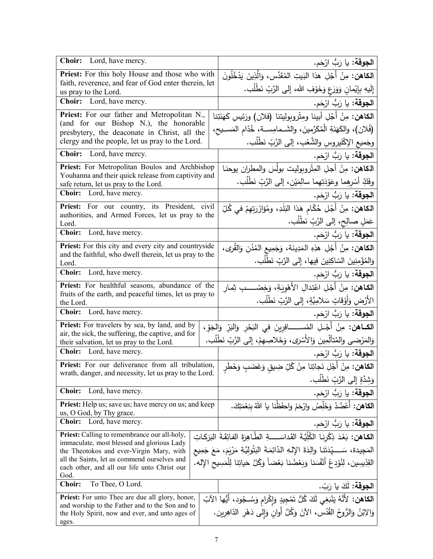| Choir: Lord, have mercy.                                                                                    | ا <b>لجوقة:</b> يا رَبُّ ارْحَم.                                                                   |
|-------------------------------------------------------------------------------------------------------------|----------------------------------------------------------------------------------------------------|
| <b>Priest:</b> For this holy House and those who with                                                       | ا <b>لكاهن:</b> مِنْ أَجْلِ هذا البَيتِ المُقَدَّس، وَالَّذِينَ يَدْخُلُونَ                        |
| faith, reverence, and fear of God enter therein, let<br>us pray to the Lord.                                | إِلَيهِ بِإِيْمانِ وَوَرَعٍ وَخَوْفِ الله، إِلى الرَّبِّ نَطْلُب.                                  |
| Choir: Lord, have mercy.                                                                                    | ا <b>لجوقة:</b> يا رَبُّ ارْحَم.                                                                   |
| Priest: For our father and Metropolitan N.,                                                                 | ا <b>لكاهن:</b> مِنْ أَجْلِ أبينا ومِتْروبوليتنا (فلان) ورَئيسِ كَهَنَتِنا                         |
| (and for our Bishop N.), the honorable                                                                      | (فُلان)، والكَهَنَةِ الْمُكَرَّمينَ، والشَــمامِســة، خُدّام المَســيح،                            |
| presbytery, the deaconate in Christ, all the<br>clergy and the people, let us pray to the Lord.             | وجَميع الإكْليروسِ والشَّعْبِ، إلى الرَّبِّ نَطْلُب.                                               |
| <b>Choir:</b> Lord, have mercy.                                                                             | ا <b>لجوقة:</b> يا رَبُّ ارْحَم.                                                                   |
| Priest: For Metropolitan Boulos and Archbishop                                                              | ا <b>لكاهن:</b> مِنْ أجلِ الْمِتْروبوليت بولُسَ والمطران يوحنـا                                    |
| Youhanna and their quick release from captivity and                                                         | وفَكِّ أَسْرِهِما وعَوْدَتِهِما سالِمَيْنِ، إلى الرَّبِّ نَطْلُبٍ.                                 |
| safe return, let us pray to the Lord.<br>Choir: Lord, have mercy.                                           | ا <b>لجوقة:</b> يا رَبُّ ارْحَم.                                                                   |
| Priest: For our country, its President, civil                                                               | ا <b>لكاهن:</b> مِنْ أَجْلِ حُكّام هَذا البَلَدِ، ومُؤازَرَتِهِمْ في كُلِّ                         |
| authorities, and Armed Forces, let us pray to the                                                           | عَمَلٍ صالِحٍ، إلى الرَّبِّ نَطْلُبٍ.                                                              |
| Lord.<br>Lord, have mercy.<br><b>Choir:</b>                                                                 | ا <b>لجوقة:</b> يا رَبُّ ارْحَم.                                                                   |
| Priest: For this city and every city and countryside                                                        | ا <b>لكاهن:</b> مِنْ أَجْلِ هذِهِ المَدِينَة، وَجَمِيعِ المُدُنِ وَالقُر <i>ى</i> ،                |
| and the faithful, who dwell therein, let us pray to the                                                     | وَالِمُؤْمِنِينَ السّاكِنِينَ فِيها، إِلى الرَّبِّ نَطْلُب.                                        |
| Lord.<br><b>Choir:</b><br>Lord, have mercy.                                                                 | ا <b>لجوقة:</b> يا رَبُّ ارْحَم.                                                                   |
| Priest: For healthful seasons, abundance of the                                                             |                                                                                                    |
| fruits of the earth, and peaceful times, let us pray to                                                     | ا <b>لكاهن:</b> مِنْ أَجْلِ اعْتِدالِ الأَهْوِيَةِ، وَخِصْــــبِ ثِمار                             |
| the Lord.<br>Choir: Lord, have mercy.                                                                       | الأَرْضِ وَأَوْقَاتٍ سَلامِيَّةٍ، إِلَى الرَّبِّ نَطْلُب.                                          |
| <b>Priest:</b> For travelers by sea, by land, and by                                                        | ا <b>لجوقة:</b> يا رَبُّ ارْحَم.                                                                   |
| air, the sick, the suffering, the captive, and for                                                          | ا <b>لكــاهن:</b> مِنْ أَجْـلِ المُســـــــافِرِينَ فِي النَحْرِ وَالنَدِّ وَالجَوِّ،              |
| their salvation, let us pray to the Lord.                                                                   | وَالمَرْضى والمُتَأْلِّمِين وَالأَسْرِى، وَخَلاصِهِمْ، إِلَى الرَّبِّ نَطْلُب.                     |
| Choir: Lord, have mercy.                                                                                    | ا <b>لجوقة:</b> يا رَبُّ ارْحَم.                                                                   |
| Priest: For our deliverance from all tribulation,<br>wrath, danger, and necessity, let us pray to the Lord. | ا <b>لكاهن:</b> مِنْ أَجْلِ نَجاتِنا مِنْ كُلِّ ضِيقِ وَغَضَبٍ وَخَطَرٍ                            |
|                                                                                                             | وَشِدَّةٍ إِلَى الرَّبِّ نَطْلُب.                                                                  |
| <b>Choir:</b><br>Lord, have mercy.                                                                          | ا <b>لجوقة:</b> يا رَبُّ ارْحَم.                                                                   |
| Priest: Help us; save us; have mercy on us; and keep<br>us, O God, by Thy grace.                            | ا <b>لكاهن:</b> أعْضُدْ وَخَلِّصْ وارْحَمْ واحفَظْنا يا اللهُ بنِعْمَتِكَ.                         |
| <b>Choir:</b> Lord, have mercy.                                                                             | ا <b>لجوقة:</b> يا رَبُّ ارْحَم.                                                                   |
| Priest: Calling to remembrance our all-holy,                                                                | <b>الكـاهن:</b> بَعْدَ ذِكْرِنـا الكُلِّيَّةَ القَداسَــــةِ الطَّـاهِرَةَ الفائِقَـةَ البَرَكـاتِ |
| immaculate, most blessed and glorious Lady<br>the Theotokos and ever-Virgin Mary, with                      | المَجِيدة، سَـــــتِّدَتَنـا والِدَةَ الإِلـهِ الدّائِمَـةَ البَتُولِيَّةِ مَرْيَمَ، مَعَ جَمِيع   |
| all the Saints, let us commend ourselves and                                                                | القِدِّيسِين، لِنُؤدِعْ أَنْفُسَنا وَبَعْضُنا بَعْضاً وَكُلَّ حَياتِنا لِلْمَسِيحِ الإِله.         |
| each other, and all our life unto Christ our<br>God.                                                        |                                                                                                    |
| <b>Choir:</b><br>To Thee, O Lord.                                                                           | ا <b>لجوقة:</b> لَكَ يا رَبّ.                                                                      |
| <b>Priest:</b> For unto Thee are due all glory, honor,                                                      | ا <b>لكاهن:</b> لأَنَّهُ يَنْبَغِي لَكَ كُلُّ تَمْجِيدٍ وَإِكْرامٍ وَسُـجُودٍ، أَيُّها الآبُ       |
| and worship to the Father and to the Son and to<br>the Holy Spirit, now and ever, and unto ages of          | وَالِإِبْنُ وَالرُّوحُ القُدُس، الآنَ وَكُلَّ أُوانٍ وَإِلى دَهْرِ الدّاهِرِين.                    |
| ages.                                                                                                       |                                                                                                    |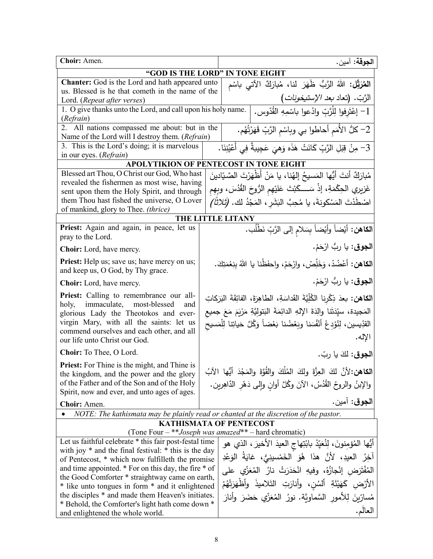| Choir: Amen.                                                                                                                                                                                                                                           |  |                                         | ا <b>لجوقة:</b> آمين.                                                                                                                                                                                                                                                    |
|--------------------------------------------------------------------------------------------------------------------------------------------------------------------------------------------------------------------------------------------------------|--|-----------------------------------------|--------------------------------------------------------------------------------------------------------------------------------------------------------------------------------------------------------------------------------------------------------------------------|
| "GOD IS THE LORD" IN TONE EIGHT                                                                                                                                                                                                                        |  |                                         |                                                                                                                                                                                                                                                                          |
| <b>Chanter:</b> God is the Lord and hath appeared unto<br>المُعَرَّقِل: اللهُ الزَّبُّ ظَهَرَ لذا، مُبارَكٌ الآتي باسْم                                                                                                                                |  |                                         |                                                                                                                                                                                                                                                                          |
| us. Blessed is he that cometh in the name of the                                                                                                                                                                                                       |  |                                         |                                                                                                                                                                                                                                                                          |
| Lord. (Repeat after verses)                                                                                                                                                                                                                            |  | الرَّبّ. (تعاد <i>بعد الإستيخونات</i> ) |                                                                                                                                                                                                                                                                          |
| 1. O give thanks unto the Lord, and call upon his holy name.                                                                                                                                                                                           |  |                                         | 1– إعْتَرفوا لِلْرَّبِّ وادْعوا باسْمِهِ القُدّوس.                                                                                                                                                                                                                       |
| (Refrain)<br>2. All nations compassed me about: but in the                                                                                                                                                                                             |  |                                         |                                                                                                                                                                                                                                                                          |
| Name of the Lord will I destroy them. (Refrain)                                                                                                                                                                                                        |  |                                         | 2– كلُّ الأُمَم أحاطوا بي وباسْمِ الرَّبِّ قَهَرْتُهُم.                                                                                                                                                                                                                  |
| 3. This is the Lord's doing; it is marvelous                                                                                                                                                                                                           |  |                                         | 3– مِنْ قِبَلِ الرَّبِّ كَانَتْ هَذَه وَهِيَ عَجِيبةٌ فِي أَعْيُنِنَا.                                                                                                                                                                                                   |
| in our eyes. (Refrain)                                                                                                                                                                                                                                 |  |                                         |                                                                                                                                                                                                                                                                          |
| <b>APOLYTIKION OF PENTECOST IN TONE EIGHT</b>                                                                                                                                                                                                          |  |                                         |                                                                                                                                                                                                                                                                          |
| Blessed art Thou, O Christ our God, Who hast                                                                                                                                                                                                           |  |                                         | مُبارَكٌ أنتَ أَيُّها المَسيحُ إلهُنا، يا مَنْ أَظْهَرْتَ الصَّيّادينَ                                                                                                                                                                                                   |
| revealed the fishermen as most wise, having                                                                                                                                                                                                            |  |                                         |                                                                                                                                                                                                                                                                          |
| sent upon them the Holy Spirit, and through                                                                                                                                                                                                            |  |                                         | غَزيري الحِكْمَةِ، إذْ سَــــكَبْتَ عَلَيْهِم الرُّوحَ القُدُسَ، وبِهِم                                                                                                                                                                                                  |
| them Thou hast fished the universe, O Lover                                                                                                                                                                                                            |  |                                         | اصْطَدْتَ المَسْكونةَ، يا مُحِبَّ البَشَرِ ، المَجْدُ لك. ( <i>تَلاثَأ)</i>                                                                                                                                                                                              |
| of mankind, glory to Thee. (thrice)                                                                                                                                                                                                                    |  |                                         |                                                                                                                                                                                                                                                                          |
| Priest: Again and again, in peace, let us                                                                                                                                                                                                              |  | <b>THE LITTLE LITANY</b>                |                                                                                                                                                                                                                                                                          |
| pray to the Lord.                                                                                                                                                                                                                                      |  |                                         | الكاهن: أيْضاً وأيْضاً بِسَلامِ إلى الرَّبِّ نَطْلُب.                                                                                                                                                                                                                    |
| Choir: Lord, have mercy.                                                                                                                                                                                                                               |  |                                         | ا <b>لجوق</b> : يا ربُّ ارْحَمْ.                                                                                                                                                                                                                                         |
|                                                                                                                                                                                                                                                        |  |                                         |                                                                                                                                                                                                                                                                          |
| <b>Priest:</b> Help us; save us; have mercy on us;<br>and keep us, O God, by Thy grace.                                                                                                                                                                |  |                                         | ا <b>لكاهن:</b> أعْضُدْ، وَخَلِّصْ، وارْحَمْ، واحفَظْنا يا اللهُ بِنِعْمَتِكَ.                                                                                                                                                                                           |
| <b>Choir:</b> Lord, have mercy.                                                                                                                                                                                                                        |  |                                         | ا <b>لجوق</b> : يا ربُّ ارْحَمْ.                                                                                                                                                                                                                                         |
| Priest: Calling to remembrance our all-<br>immaculate, most-blessed<br>holy,<br>and<br>glorious Lady the Theotokos and ever-<br>virgin Mary, with all the saints: let us<br>commend ourselves and each other, and all<br>our life unto Christ our God. |  |                                         | ا <b>لكاهن:</b> بعدَ ذِكْرِنا الكُلِّيَّةَ القَداسَةِ، الطاهِرَةَ، الفائِقَةَ البَرَكاتِ<br>المَجيدة، سيِّدَتَنا والِدَةَ الإِلهِ الدائِمَةَ البَتولِيَّةِ مَرْيَمَ مَعَ جميع<br>القدِّيسين، لِنُؤدِعْ أَنْفُسَنا وبَعْضُنا بَعْضاً وَكُلَّ حَياتِنا لِلْمَسيح<br>الإله. |
| Choir: To Thee, O Lord.                                                                                                                                                                                                                                |  |                                         | ا <b>لجوق</b> : لكَ يا ربّ.                                                                                                                                                                                                                                              |
| Priest: For Thine is the might, and Thine is                                                                                                                                                                                                           |  |                                         |                                                                                                                                                                                                                                                                          |
| the kingdom, and the power and the glory                                                                                                                                                                                                               |  |                                         | الكاهن:لأنَّ لكَ العِزَّةَ ولكَ المُلْكَ والقُوَّةَ والمَجْدَ أيُّها الآبُ                                                                                                                                                                                               |
| of the Father and of the Son and of the Holy                                                                                                                                                                                                           |  |                                         | والإبنُ والروحُ القُدُسُ، الآنَ وكُلَّ أوانِ وإلى دَهْرِ الدَّاهِرينِ.                                                                                                                                                                                                   |
| Spirit, now and ever, and unto ages of ages.                                                                                                                                                                                                           |  |                                         |                                                                                                                                                                                                                                                                          |
| Choir: Amen.                                                                                                                                                                                                                                           |  |                                         | ا <b>لجوق</b> : آمين.                                                                                                                                                                                                                                                    |
| NOTE: The kathismata may be plainly read or chanted at the discretion of the pastor.                                                                                                                                                                   |  |                                         |                                                                                                                                                                                                                                                                          |
| <b>KATHISMATA OF PENTECOST</b>                                                                                                                                                                                                                         |  |                                         |                                                                                                                                                                                                                                                                          |
| (Tone Four - ** Joseph was amazed** - hard chromatic)                                                                                                                                                                                                  |  |                                         |                                                                                                                                                                                                                                                                          |
| Let us faithful celebrate * this fair post-festal time                                                                                                                                                                                                 |  |                                         | أَيُّها الْمُؤْمِنُونَ، لِنُعَيِّدْ بِابْتِهاجِ الْعِيدَ الأَخيرَ ، الذي هو                                                                                                                                                                                              |
| with joy * and the final festival: * this is the day<br>of Pentecost, * which now fulfilleth the promise                                                                                                                                               |  |                                         | آخِرُ   العيدِ،   لأنَّ   هذا   هُوَ   الخَمْسينِيُّ،   غايَةُ  الوَعْدِ                                                                                                                                                                                                 |
| and time appointed. * For on this day, the fire * of                                                                                                                                                                                                   |  |                                         |                                                                                                                                                                                                                                                                          |
| the Good Comforter * straightway came on earth,                                                                                                                                                                                                        |  |                                         | الْمُفْتَرَض إِنْجازُهُ، وفيهِ انْحَدَرَتْ نارُ الْمُعَزِّي على                                                                                                                                                                                                          |
| * like unto tongues in form * and it enlightened                                                                                                                                                                                                       |  |                                         | الأَرْضِ كَهَيْئَةِ أَلْسُنِ، وأَنارَتِ التَلاميذُ وأَظْهَرَتْهُمْ                                                                                                                                                                                                       |
| the disciples * and made them Heaven's initiates.                                                                                                                                                                                                      |  |                                         | مُسارِّينَ لِلأَمورِ السَّماويَّةِ. نورُ الْمُعَزِّي حَضَرَ وأنارَ                                                                                                                                                                                                       |
| * Behold, the Comforter's light hath come down *                                                                                                                                                                                                       |  |                                         |                                                                                                                                                                                                                                                                          |
| and enlightened the whole world.                                                                                                                                                                                                                       |  |                                         | العالَم.                                                                                                                                                                                                                                                                 |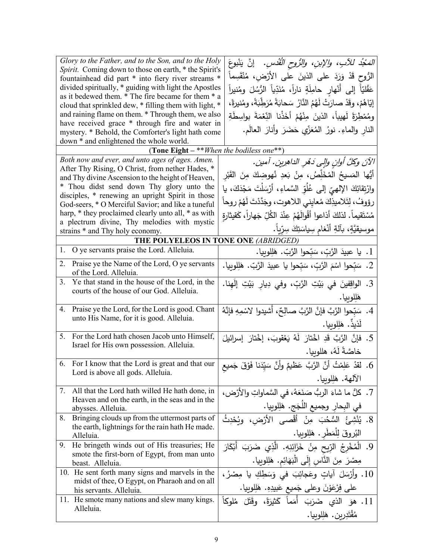| Glory to the Father, and to the Son, and to the Holy<br>Spirit. Coming down to those on earth, * the Spirit's<br>fountainhead did part * into fiery river streams *<br>divided spiritually, * guiding with light the Apostles<br>as it bedewed them. * The fire became for them * a<br>cloud that sprinkled dew, * filling them with light, *<br>and raining flame on them. * Through them, we also<br>have received grace * through fire and water in<br>mystery. * Behold, the Comforter's light hath come<br>down * and enlightened the whole world. | <i>المَجْدُ للآبِ، والإبنِ، والزُّوحِ القُدْسِ.</i> إنَّ يَنْبوعَ<br>الرُّوحِ قَدْ وَرَدَ على الذينَ على الأرْضِ، مُنْقَسِماً<br>عَقْليّاً إلى أَنْهارِ حامِلَةٍ ناراً، مُنَدِّياً الرُّسُلَ ومُنيراً<br>إِيّاهُمْ، وقَدْ صارَتْ لَهُمُ النَّارُ سَحابَةً مُرَطِّبَةً، ومُنيرةً،<br>ومُمْطِرَةً لَهيباً، الذينَ مِنْهُمْ أَخَذْنا النِّعْمَةَ بواسِطَةِ<br>النار والماءِ. نورُ المُعَزِّي حَضَرَ وأنارَ العالَمِ. |
|---------------------------------------------------------------------------------------------------------------------------------------------------------------------------------------------------------------------------------------------------------------------------------------------------------------------------------------------------------------------------------------------------------------------------------------------------------------------------------------------------------------------------------------------------------|-------------------------------------------------------------------------------------------------------------------------------------------------------------------------------------------------------------------------------------------------------------------------------------------------------------------------------------------------------------------------------------------------------------------|
| (Tone Eight $-$ ** <i>When the bodiless one</i> **)                                                                                                                                                                                                                                                                                                                                                                                                                                                                                                     |                                                                                                                                                                                                                                                                                                                                                                                                                   |
| Both now and ever, and unto ages of ages. Amen.<br>After Thy Rising, O Christ, from nether Hades, *<br>and Thy divine Ascension to the height of Heaven,<br>* Thou didst send down Thy glory unto the<br>disciples, * renewing an upright Spirit in those<br>God-seers, * O Merciful Savior; and like a tuneful<br>harp, * they proclaimed clearly unto all, * as with<br>a plectrum divine, Thy melodies with mystic                                                                                                                                   | الآنَ وكلَّ أوانِ والِي دَهْرِ الداهرِينِ. آمينِ.<br>أَيُّها المَسيحُ المُخَلِّصُ، مِنْ بَعدِ نُهوضِكَ مِنَ القَبْرِ<br>وارْتِقائِكَ الإلهيِّ إلى عُلُوِّ السَّماءِ، أرْسَلْتَ مَجْدَكَ، يا<br>رؤوفُ، لِتَلاميذِكَ مُعايِني اللاهوت، وجَدَّدْتَ لَهُمْ روحاً<br>مُسْتَقيماً . لذلكَ أذاعوا أقْوالَهُمْ عِنْدَ الكُلِّ جَهاراً ، كَقيثارة<br>موسيقيَّةٍ، بأَلةِ أَنْغام سِياسَتِكَ سِرِّياً.                       |
| strains * and Thy holy economy.                                                                                                                                                                                                                                                                                                                                                                                                                                                                                                                         |                                                                                                                                                                                                                                                                                                                                                                                                                   |
| THE POLYELEOS IN TONE ONE (ABRIDGED)<br>O ye servants praise the Lord. Alleluia.<br>1.                                                                                                                                                                                                                                                                                                                                                                                                                                                                  |                                                                                                                                                                                                                                                                                                                                                                                                                   |
|                                                                                                                                                                                                                                                                                                                                                                                                                                                                                                                                                         | 1. يا عبيدَ الرَّبِّ، سَبّحوا الرَّبِّ. هَلِلوبِيا.                                                                                                                                                                                                                                                                                                                                                               |
| Praise ye the Name of the Lord, O ye servants<br>2.<br>of the Lord. Alleluia.                                                                                                                                                                                                                                                                                                                                                                                                                                                                           | 2. سَبِّحوا اسْمَ الرَّبِّ، سَبِّحوا يا عبيدَ الرَّبّ. هَلِلوبِيا.                                                                                                                                                                                                                                                                                                                                                |
| Ye that stand in the house of the Lord, in the<br>3.<br>courts of the house of our God. Alleluia.                                                                                                                                                                                                                                                                                                                                                                                                                                                       | 3. الواقِفينَ في بَيْتِ الرَّبِّ، وفي دِيارِ بَيْتِ إِلَهِنا.<br>هَلِلوبيا.                                                                                                                                                                                                                                                                                                                                       |
| Praise ye the Lord, for the Lord is good. Chant<br>4.<br>unto His Name, for it is good. Alleluia.                                                                                                                                                                                                                                                                                                                                                                                                                                                       | 4. سَبّحوا الرَّبَّ فإنَّ الرَّبَّ صالِحٌ، أشيدوا لاسْمِهِ فإنَّهُ<br>لَذيذٌ. هَلِلوبِيا.                                                                                                                                                                                                                                                                                                                         |
| For the Lord hath chosen Jacob unto Himself,<br>5.<br>Israel for His own possession. Alleluia.                                                                                                                                                                                                                                                                                                                                                                                                                                                          | 5. فإنَّ الرَّبَّ قَدِ اخْتارَ لَهُ يَعْقوبَ، إخْتارَ إسرائيلَ<br>خاصَّةً لَهُ، هللوبيا.                                                                                                                                                                                                                                                                                                                          |
| 6. For I know that the Lord is great and that our<br>Lord is above all gods. Alleluia.                                                                                                                                                                                                                                                                                                                                                                                                                                                                  | 6. لقدْ عَلِمْتُ أَنَّ الرَّبَّ عَظيمٌ وأَنَّ سَيِّدَنا فَوْقَ جَميع<br>الآلهة. هَلِلوبيا.                                                                                                                                                                                                                                                                                                                        |
| All that the Lord hath willed He hath done, in<br>7.<br>Heaven and on the earth, in the seas and in the<br>abysses. Alleluia.                                                                                                                                                                                                                                                                                                                                                                                                                           | 7. كلُّ ما شاءَ الربُّ صَنَعَهُ، في السَّماواتِ والأرْض،<br>في البِحارِ وجميع اللَجَج. هَلِلوبِيا.                                                                                                                                                                                                                                                                                                                |
| Bringing clouds up from the uttermost parts of<br>8.<br>the earth, lightnings for the rain hath He made.<br>Alleluia.                                                                                                                                                                                                                                                                                                                                                                                                                                   | 8. يُنْشِئُ السُّحُبَ مِنْ أَقْصـى الأَرْض، وبُحْدِثُ<br>البُروقَ لِلْمَطْرِ . هَلِلوبِيا.                                                                                                                                                                                                                                                                                                                        |
| He bringeth winds out of His treasuries; He<br>9.<br>smote the first-born of Egypt, from man unto<br>beast. Alleluia.                                                                                                                                                                                                                                                                                                                                                                                                                                   | 9. الْمُخْرِجُ الرِّيحِ مِنْ خَزَائِنِهِ. الَّذِي ضَرَبَ أَبْكَارَ<br>مِصْرَ مِنَ النَّاسِ إِلَى الْبَهَائِمِ. هَلِلوبِيا.                                                                                                                                                                                                                                                                                        |
| 10. He sent forth many signs and marvels in the<br>midst of thee, O Egypt, on Pharaoh and on all<br>his servants. Alleluia.                                                                                                                                                                                                                                                                                                                                                                                                                             | 10. وأَرْسَلَ آياتٍ وعَجائِبَ في وَسَطِكِ يا مِصْرُ،<br>على فِرْعَوْنَ وعلى جَميع عَبيدِهِ. هَلِلوبِيا.                                                                                                                                                                                                                                                                                                           |
| 11. He smote many nations and slew many kings.<br>Alleluia.                                                                                                                                                                                                                                                                                                                                                                                                                                                                                             | 11. هوَ   الذي   ضَرَبَ   أُمَماً   كَثيرَةً،   وقَتَلَ   مُلوكاً<br>مُقْتَدِرِين. هَلِلوبِيا.                                                                                                                                                                                                                                                                                                                    |
|                                                                                                                                                                                                                                                                                                                                                                                                                                                                                                                                                         |                                                                                                                                                                                                                                                                                                                                                                                                                   |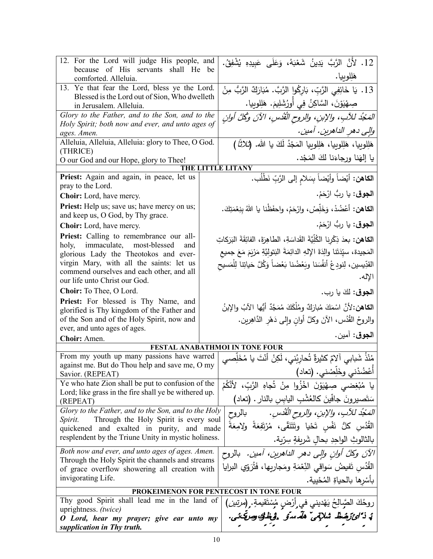| 12. For the Lord will judge His people, and<br>because of His servants shall He                     | be                                           | 12. لأَنَّ الرَّبَّ يَدِينُ شَعْبَهُ، وَعَلَى عَبيدِهِ يُشْفِقُ.                                                                        |
|-----------------------------------------------------------------------------------------------------|----------------------------------------------|-----------------------------------------------------------------------------------------------------------------------------------------|
| comforted. Alleluia.                                                                                |                                              | هَلِلوبيا.                                                                                                                              |
| 13. Ye that fear the Lord, bless ye the Lord.<br>Blessed is the Lord out of Sion, Who dwelleth      |                                              | 13. يَا خَائِفِي الرَّبِّ، بَارِكُوا الرَّبَّ. مُبَارَكٌ الرَّبُّ مِنْ                                                                  |
| in Jerusalem. Alleluia.                                                                             |                                              | صِهْيَوْنَ، السَّاكِنُ فِي أُورُشَلِيمَ. هَلِلوبِيا.                                                                                    |
| Glory to the Father, and to the Son, and to the<br>Holy Spirit; both now and ever, and unto ages of |                                              | المَجْدُ للآبِ، والإبنِ، والروح القُدْسِ، الآنَ وكُلَّ أُولنِ                                                                           |
| ages. Amen.                                                                                         |                                              | والِي دهر الداهرينِ. آمين.                                                                                                              |
| Alleluia, Alleluia, Alleluia: glory to Thee, O God.                                                 |                                              | هَلِلوبِيا، هَلِلوبِيا، هَلِلوبِيا المَجْدُ لَكَ يا الله. ( <i>ثلاثاً )</i>                                                             |
| (THRICE)<br>O our God and our Hope, glory to Thee!                                                  |                                              | يا إلهَنا ورجاءَنا لكَ المَجْد.                                                                                                         |
|                                                                                                     |                                              | <b>LE LITANY</b>                                                                                                                        |
| Priest: Again and again, in peace, let us<br>pray to the Lord.                                      |                                              | ا <b>لكاهن:</b> أيْضاً وأيْضاً بِسَلامِ إلى الرَّبِّ نَطْلُب.                                                                           |
| Choir: Lord, have mercy.                                                                            |                                              | ا <b>لجوق</b> : يا ربُ ارْحَمْ.                                                                                                         |
| Priest: Help us; save us; have mercy on us;<br>and keep us, O God, by Thy grace.                    |                                              | الكاهن: أعْضُدْ، وَخَلِّصْ، وارْحَمْ، واحفَظْنا يا اللهُ بنِعْمَتِكَ.                                                                   |
| Choir: Lord, have mercy.                                                                            |                                              | ا <b>لجوق</b> : يا ربُ ارْحَمْ.                                                                                                         |
| Priest: Calling to remembrance our all-                                                             |                                              | الكاهن: بعدَ ذِكْرِنا الكُلِّيَّةَ القَداسَةِ، الطاهِرَةَ، الفائِقَةَ البَرَكاتِ                                                        |
| immaculate, most-blessed<br>holy,<br>and<br>glorious Lady the Theotokos and ever-                   |                                              | المَجيدة، سيِّدَتَنا والِدَةَ الإِلهِ الدائِمَةَ البَتولِيَّةِ مَرْيَمَ مَعَ جميع                                                       |
| virgin Mary, with all the saints: let us                                                            |                                              | القدِّيسين، لِنودِعْ أَنفُسَنا وبَعْضُنا بَعْضاً وَكُلَّ حَياتِنا لِلْمَسيح                                                             |
| commend ourselves and each other, and all<br>our life unto Christ our God.                          |                                              | الإله.                                                                                                                                  |
| Choir: To Thee, O Lord.                                                                             |                                              | ا <b>لجوق</b> : لكَ يا رب.                                                                                                              |
| Priest: For blessed is Thy Name, and                                                                |                                              |                                                                                                                                         |
| glorified is Thy kingdom of the Father and                                                          |                                              | ا <b>لكاهن:</b> 'لأنَّ اسْمَكَ مُبارَكٌ ومُلْكَكَ مُمَجَّدٌ أَيُّها الآبُ والإِبنُ                                                      |
| of the Son and of the Holy Spirit, now and<br>ever, and unto ages of ages.                          |                                              | والروحُ القُدُس، الآنَ وكلَّ أوانِ وإلى دَهْرِ الدَّاهِرِينِ.                                                                           |
| Choir: Amen.                                                                                        |                                              | ا <b>لجوق</b> : آمين.                                                                                                                   |
|                                                                                                     |                                              | FESTAL ANABATHMOI IN TONE FOUR                                                                                                          |
| From my youth up many passions have warred<br>against me. But do Thou help and save me, O my        |                                              | مُنْذُ شَبابي آلامٌ كثيرةٌ تُحارِبُني، لَكِنْ أَنْتَ يا مُخَلِّصي                                                                       |
| Savior. (REPEAT)                                                                                    |                                              | أَعْضُدْني وخَلِّصْني. (تعاد)                                                                                                           |
| Ye who hate Zion shall be put to confusion of the                                                   |                                              | يا مُبْغِضي صِهْيَوْنَ اخْزُوا مِنْ تُجاهِ الرَّبِّ، لأَنَّكُمْ                                                                         |
| Lord; like grass in the fire shall ye be withered up.<br>(REPEAT)                                   |                                              | سَتَصبيرونَ جافَينَ كالعُشْبِ اليابس بالنار . (تعاد)                                                                                    |
| Glory to the Father, and to the Son, and to the Holy                                                |                                              | المَعْبُد للآبِ، والإبن، والروح القُدُسِ.            بالروح                                                                             |
| Spirit.<br>Through the Holy Spirit is every soul<br>quickened and exalted in purity, and made       |                                              | الْقُدُسِ كُلُّ نَفْسٍ تَحْيا وتَتَنَقّى، مُرْتَفِعَةً ولامِعَةً                                                                        |
| resplendent by the Triune Unity in mystic holiness.                                                 |                                              | بالثالوثِ الواحِدِ بحالِ شَريفةٍ سِرّية.                                                                                                |
| Both now and ever, and unto ages of ages. Amen.                                                     |                                              | الآنَ وكلَّ أوانِ وإلى دهرِ الداهرين، آمين.  بالروح                                                                                     |
| Through the Holy Spirit the channels and streams                                                    |                                              | القَدُسِ تَفيضُ سَواقي النِّعْمَةِ ومَجاريها، فَتُرَوّي البرايا                                                                         |
| of grace overflow showering all creation with<br>invigorating Life.                                 |                                              | بأسْرِها بالحياةِ المُحْيِيةِ.                                                                                                          |
| PROKEIMENON FOR PENTECOST IN TONE FOUR                                                              |                                              |                                                                                                                                         |
|                                                                                                     | Thy good Spirit shall lead me in the land of |                                                                                                                                         |
| uprightness. (twice)                                                                                |                                              | روحُكَ الصَّرالِحُ يَهْديني في أرْضِ مُسْتَقيمةٍ. (مرتين)<br>بُ <i>ذَائْ رَهُ</i> ظَ شَلا <i>تِيْ هَلَّاسوٌ فَيَظْلُو وَرَبَّكَ شَ.</i> |
| O Lord, hear my prayer; give ear unto my<br>supplication in Thy truth.                              |                                              |                                                                                                                                         |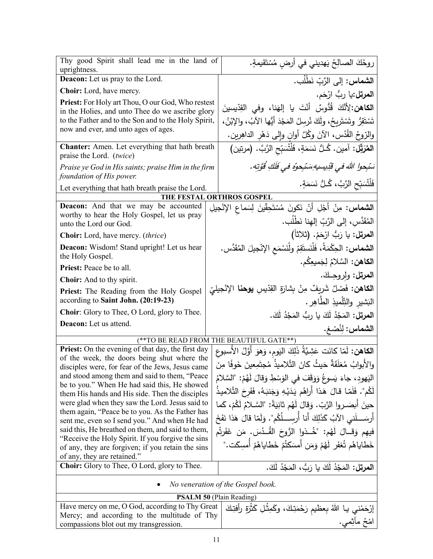| Thy good Spirit shall lead me in the land of<br>uprightness.                                      | روحُكَ الصالِحُ يَهديني في أرضِ مُسْتَقيمةٍ.                                   |  |  |
|---------------------------------------------------------------------------------------------------|--------------------------------------------------------------------------------|--|--|
| <b>Deacon:</b> Let us pray to the Lord.                                                           | ا <b>لشماس:</b> إلى الرَّبّ نَطْلُب.                                           |  |  |
| <b>Choir:</b> Lord, have mercy.                                                                   | ا <b>لمرتل:</b> يا ربُّ ارْحَم.                                                |  |  |
| Priest: For Holy art Thou, O our God, Who restest                                                 |                                                                                |  |  |
| in the Holies, and unto Thee do we ascribe glory                                                  | ا <b>لكاهن:</b> لِأَنَّكَ قُدُّوسٌ أَنْتَ يا إِلهَنا، وفي القِدّيسينَ          |  |  |
| to the Father and to the Son and to the Holy Spirit,                                              | تَسْتَقِرُّ وتَسْتَرِيحُ، ولَكَ نُرسِلُ المَجْدَ أَيُّها الآبُ، والإِبْنُ،     |  |  |
| now and ever, and unto ages of ages.                                                              | والرّوحُ القُدُسِ، الآنَ وكُلَّ أوانٍ وإلى دَهْرِ الداهِرينِ.                  |  |  |
| Chanter: Amen. Let everything that hath breath                                                    | ا <b>لمُرَبِّل:</b> آمين. كُـلُّ نَسَمَةٍ، فَلْتُسَبِّحِ الرَّبَّ. (مرتين)     |  |  |
| praise the Lord. (twice)                                                                          |                                                                                |  |  |
| Praise ye God in His saints; praise Him in the firm                                               | سَبْحوا اللهَ في قُدِيسيهِ سَتَجوهُ في فَلَكِ قُوَّتِهِ.                       |  |  |
| foundation of His power.                                                                          | فَلْتُسَبِّحِ الرَّبَّ، كُـلُّ نَسَمَةٍ.                                       |  |  |
| Let everything that hath breath praise the Lord.                                                  | THE FESTAL ORTHROS GOSPEL                                                      |  |  |
| Deacon: And that we may be accounted                                                              |                                                                                |  |  |
| worthy to hear the Holy Gospel, let us pray                                                       | <b>الشماس:</b> مِنْ أَجْلِ أَنْ نَكونَ مُسْتَحِقّينَ لِسَماعِ الإِنْجيلِ       |  |  |
| unto the Lord our God.                                                                            | المُقَدَّس، إلى الرَّبّ إلهنا نَطْلُب.                                         |  |  |
| Choir: Lord, have mercy. (thrice)                                                                 | ا <b>لمرتل:</b> يا رَبُّ ارْحَمْ. (ثلاثاً)                                     |  |  |
| <b>Deacon:</b> Wisdom! Stand upright! Let us hear                                                 | ا <b>لشماس:</b> الحِكْمَةُ، فَلْنَستَقِمْ ولْنَسْمَع الإِنْجيلَ المُقَدَّس.    |  |  |
| the Holy Gospel.                                                                                  | ا <b>لكاهن:</b> السَّلامُ لِجَميعِكُم.                                         |  |  |
| Priest: Peace be to all.                                                                          |                                                                                |  |  |
| <b>Choir:</b> And to thy spirit.                                                                  | ا <b>لمرتل:</b> ولروحِكَ.                                                      |  |  |
| Priest: The Reading from the Holy Gospel                                                          | ا <b>لكاهن:</b> فَصْلٌ شَرِيفٌ مِنْ بِشارَةِ القِدّيسِ <b>يوحنا</b> الإنْجيليّ |  |  |
| according to Saint John. (20:19-23)                                                               | الْبَشْيْرِ وْالْتِّلْمِيْذِ الطَّاهِرِ .                                      |  |  |
| Choir: Glory to Thee, O Lord, glory to Thee.                                                      | ا <b>لمرتل:</b> المَجْدُ لَكَ يا رِبُّ المَجْدُ لَكَ.                          |  |  |
| Deacon: Let us attend.                                                                            | الشماس: لِنُصْغ.                                                               |  |  |
| (**TO BE READ FROM THE BEAUTIFUL GATE**)                                                          |                                                                                |  |  |
| <b>Priest:</b> On the evening of that day, the first day                                          | ا <b>لكاهن:</b> لَمّا كانَت عَشِيَّةُ ذَلِكَ اليَومِ، وَهوَ أَوَّلُ الأسبوعِ   |  |  |
| of the week, the doors being shut where the                                                       | والأبوابُ مُغلَقَةٌ حَيثُ كانَ التَّلاميذُ مُجتَمِعينَ خَوفًا مِنَ             |  |  |
| disciples were, for fear of the Jews, Jesus came<br>and stood among them and said to them, "Peace |                                                                                |  |  |
| be to you." When He had said this, He showed                                                      | الْيَهُودِ، جاءَ يَسوعُ وَوَقَفَ في الْوَسْطِ وَقَالَ لَهُمْ: "السَّلامُ       |  |  |
| them His hands and His side. Then the disciples                                                   | لَكُم". فَلَمّا قالَ هَذا أَراهُم يَدَيْهِ وَجَنبَهُ، فَفَرحَ التَّلاميذُ      |  |  |
| were glad when they saw the Lord. Jesus said to                                                   | حينَ أَبِصَـرِوا الرَّبِّ. وَقالَ لَهُم ثانِيَةً: "السَّـلامُ لَكُمْ، كَما     |  |  |
| them again, "Peace be to you. As the Father has<br>sent me, even so I send you." And when He had  | أَرِسَـــلَنـى الآبُ كَذَلِكَ أَنا أُرِسِـــلُكُم". وَلَمّا قالَ هَذا نَفَخَ   |  |  |
| said this, He breathed on them, and said to them,                                                 | فيهِم وَقِــالَ لَهُم: "خُــذوا الرُّوحَ القُــدُسَ. مَن غَفَرتُم              |  |  |
| "Receive the Holy Spirit. If you forgive the sins                                                 |                                                                                |  |  |
| of any, they are forgiven; if you retain the sins                                                 | خَطاياهُم تُغفَر لَهُمْ وَمَن أَمسَكتُمْ خَطاياهُمْ أُمسِكَت."                 |  |  |
| of any, they are retained."<br><b>Choir:</b> Glory to Thee, O Lord, glory to Thee.                | ا <b>لمرتل:</b> المَجْدُ لَكَ يا رَبُّ، المَجْدُ لَكَ.                         |  |  |
|                                                                                                   |                                                                                |  |  |
| No veneration of the Gospel book.                                                                 |                                                                                |  |  |
| <b>PSALM 50 (Plain Reading)</b>                                                                   |                                                                                |  |  |
| Have mercy on me, O God, according to Thy Great                                                   | إِرْجَمْنِي بِـا اللَّهُ بِعِظْيِمِ رَجْمَتِكَ، وكَمِثْلِ كَثْرَةٍ رِأَفِتِكَ  |  |  |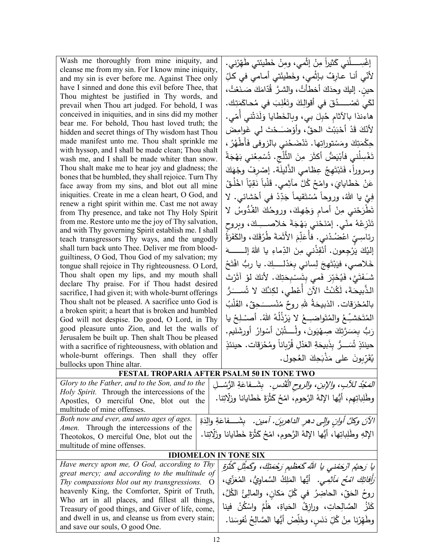| Wash me thoroughly from mine iniquity, and                                                           | إغْسِـــــلْني كَثيراً مِنْ إثْمي، ومِنْ خَطيئتي طَهِّرْني.                        |
|------------------------------------------------------------------------------------------------------|------------------------------------------------------------------------------------|
| cleanse me from my sin. For I know mine iniquity,                                                    |                                                                                    |
| and my sin is ever before me. Against Thee only                                                      | لأَنّي أنـا عـارفٌ بـإثْمي، وخَطيئَتي أمـامي في كـلِّ                              |
| have I sinned and done this evil before Thee, that                                                   | حينِ. إليكَ وحدَكَ أخطأتُ، والشرَّ قُدّامَكَ صَـنَعْتُ،                            |
| Thou mightest be justified in Thy words, and<br>prevail when Thou art judged. For behold, I was      | لْكَي تَصْـــــدُقَ في أَقوالِكَ وتَغْلِبَ في مُحاكَمَتِك.                         |
| conceived in iniquities, and in sins did my mother                                                   |                                                                                    |
| bear me. For behold, Thou hast loved truth; the                                                      | هاءنذا بالآثام حُبِلَ بي، وبِالخَطايا وَلَدَتْني أَمّي.                            |
| hidden and secret things of Thy wisdom hast Thou                                                     | لأَنَّكَ قَدْ أَحْبَبْتَ الحقَّ، وأَوْضَـَحْتَ لَى غَوامِضَ                        |
| made manifest unto me. Thou shalt sprinkle me                                                        | حِكْمَتِكَ ومَسْتوراتِها. تَذْضَحُني بالزوفي فَأَطْهُرُ ،                          |
| with hyssop, and I shall be made clean; Thou shalt                                                   |                                                                                    |
| wash me, and I shall be made whiter than snow.                                                       | تَغْسِلُني فأَبْيَضُ أَكثَرَ مِنَ الثَّلْجِ. تُسْمِعُني بَهْجَةً                   |
| Thou shalt make me to hear joy and gladness; the                                                     | وسروراً، فَتَبْتَهِجُ عِظامي الذُّليلَة. إِصْرِفْ وجْهَكَ                          |
| bones that be humbled, they shall rejoice. Turn Thy                                                  | عَنْ خَطايايَ، وامْحُ كُلَّ مآثِمي. قَلْباً نَقِيّاً اخْلُقْ                       |
| face away from my sins, and blot out all mine<br>iniquities. Create in me a clean heart, O God, and  |                                                                                    |
| renew a right spirit within me. Cast me not away                                                     | فِيَّ يا اللهُ، وروحاً مُسْتَقيماً جَدِّدْ في أَحْشائي. لا                         |
| from Thy presence, and take not Thy Holy Spirit                                                      | تَطْرَحْني مِنْ أَمام وَجْهِكَ، وروحُكَ القُدُّوسُ لا                              |
| from me. Restore unto me the joy of Thy salvation,                                                   | تَنْزِعْهُ منّي. إمْنَحْني بَهْجَةَ خلاصـــِكَ، وبروح                              |
| and with Thy governing Spirit establish me. I shall                                                  |                                                                                    |
| teach transgressors Thy ways, and the ungodly                                                        | رئاسِيِّ اعْضُدْني. فأُعَلِّمَ الأَثَمَةَ طُرُقَكَ، والكَفَرَةُ                    |
| shall turn back unto Thee. Deliver me from blood-<br>guiltiness, O God, Thou God of my salvation; my | إلنيكَ يَرْجِعون. أَنْقِذْنـي مِنَ الدِّماءِ يا اللهُ إلـــــــــهَ                |
| tongue shall rejoice in Thy righteousness. O Lord,                                                   | خَلاصي، فَيَبْتَهِجَ لِساني بِعَذْلِــــكِ. يا ربُّ افْتَحْ                        |
| Thou shalt open my lips, and my mouth shall                                                          |                                                                                    |
| declare Thy praise. For if Thou hadst desired                                                        | شَـفَتَيَّ ، فَيُخَبِّرَ  فَمـى بِتَسـْبِحَتِكَ .  لأنكَ لَوْ  آثَرْتَ             |
| sacrifice, I had given it; with whole-burnt offerings                                                | الذَّبيحَةَ، لَكُنْتُ الآنَ أَعْطَي، لكِنَّكَ لا تُســَرُ                          |
| Thou shalt not be pleased. A sacrifice unto God is                                                   | بالمُحْرَقات. الذبيحَةُ للهِ روحٌ مُنْســـَـحِقٌ، القَلْبُ                         |
| a broken spirit; a heart that is broken and humbled                                                  |                                                                                    |
| God will not despise. Do good, O Lord, in Thy                                                        | المُتَحْشِّعُ والمُتَواضئِعُ لا يَرْذُلُهُ اللهُ. أَصنْـلِحْ يا                    |
| good pleasure unto Zion, and let the walls of                                                        | رَبُّ بِمَسَرَّتِكَ صِـهْيَونَ، ولْـــــتُبْنَ أَسْوارُ أُورِشَليم.                |
| Jerusalem be built up. Then shalt Thou be pleased                                                    | حينئذٍ تُسَـــرٌ. بذَبيحَةِ العَدْلِ قُرْبِاناً ومُحْرَقات. حينئذٍ                 |
| with a sacrifice of righteousness, with oblation and                                                 |                                                                                    |
| whole-burnt offerings. Then shall they offer<br>bullocks upon Thine altar.                           | يُقَرِّبونَ على مَذْبَحِكَ العُجول.                                                |
| FESTAL TROPARIA AFTER PSALM 50 IN TONE TWO                                                           |                                                                                    |
| Glory to the Father, and to the Son, and to the                                                      |                                                                                    |
| Holy Spirit. Through the intercessions of the                                                        | الْمَعْبُدُ للْأَلْبِ، والإبنِ، والروح الْقُدْسِ. ۚ بِشَــفاعَةِ الرُّسُــلِ       |
| Apostles, O merciful One, blot out the                                                               | وطَٰلِباتِهم، أَيُّها الإِلهُ الرَّحومِ، امْحُ كَثْرَةَ خَطَايانا وزلَاتِنا.       |
| multitude of mine offenses.                                                                          |                                                                                    |
| Both now and ever, and unto ages of ages.                                                            | الآنَ وكُلَّ أُوانِ وإلى دهرِ الداهرينَ. أمين.   بِشَـــفاعَةِ والِدَةِ            |
| <i>Amen.</i> Through the intercessions of the                                                        |                                                                                    |
| Theotokos, O merciful One, blot out the                                                              | الإلهِ وطَلِباتِها، أَيُّها الإلهُ الرَّحومِ، امْحُ كَثْرَةَ خَطايانا وزَلَّاتِنا. |
| multitude of mine offenses.                                                                          |                                                                                    |
| <b>IDIOMELON IN TONE SIX</b>                                                                         |                                                                                    |
| Have mercy upon me, O God, according to Thy                                                          | يا رَحيُم ارْجَمْني يا الله كَعَظيم رَجْمَتِكَ، وكَمثِلِ كَثْرَةِ                  |
| great mercy; and according to the multitude of                                                       | <i>َرَأَفَاتِكَ امْحُ مَأْثِمِي.</i> أَيُّها الْمَلِكُ السَّماوِيُّ، الْمُعَزِّي،  |
| Thy compassions blot out my transgressions.<br>$\circ$                                               |                                                                                    |
| heavenly King, the Comforter, Spirit of Truth,<br>Who art in all places, and fillest all things,     | روحُ الحَقِّ، الحاضِرُ في كُلِّ مَكانٍ، والمالِئُ الكُلَّ،                         |
| Treasury of good things, and Giver of life, come,                                                    | كَنْزُ   الصَّالِحاتِ،   ورازقُ   الحَياةِ،   هَلُمَّ   واسْكُنْ   فينا            |
| and dwell in us, and cleanse us from every stain;                                                    | وطَهِّرْنا مِنْ كُلِّ دَنَسٍ، وخَلِّصْ أَيُّها الصَّالِحُ نُفوسَنا.                |
| and save our souls, O good One.                                                                      |                                                                                    |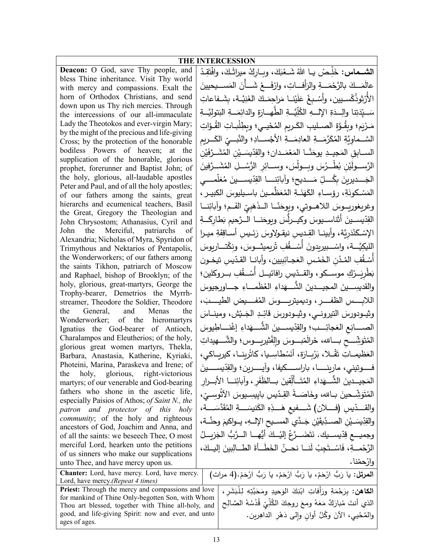| <b>THE INTERCESSION</b>                                                                                     |  |                                                                                                     |  |
|-------------------------------------------------------------------------------------------------------------|--|-----------------------------------------------------------------------------------------------------|--|
| Deacon: O God, save Thy people, and                                                                         |  | ا <b>لشــماس:</b> خَلِّـصْ يــا اللهُ شَــعْبَكَ، وبــاركْ ميراثَـكَ، وافْتَقِـدْ                   |  |
| bless Thine inheritance. Visit Thy world                                                                    |  |                                                                                                     |  |
| with mercy and compassions. Exalt the                                                                       |  | عالَمَــكَ بالرَّحْمَـــةِ والزَلْفـــاتِ، وارْفَـــعْ شَـــأنَ المَســـيحيينَ                      |  |
| horn of Orthodox Christians, and send<br>down upon us Thy rich mercies. Through                             |  | الأرْثوذَكْسـيين، وأسْـبِغْ عَلَيْنــا مَراحِمَـكَ الغَنِيَّــة، بِشَــفاعاتِ                       |  |
| the intercessions of our all-immaculate                                                                     |  | سَــيِّدَتِنا والِــدَةِ الإِلــــهِ الكُلِّيَّـــةِ الطَّـهـــارَةِ والدائِمَـــةِ البَتوليَّـــةِ |  |
| Lady the Theotokos and ever-virgin Mary;                                                                    |  | مَـرْيَم؛ وبِقُـوَّةِ الصــليبِ الكَـريمِ المُحْيــي؛ وبطِلْبــاتِ القُـوّاتِ                       |  |
| by the might of the precious and life-giving<br>Cross; by the protection of the honorable                   |  | السَّــماوِيَّةِ المُكَرَّمَـــةِ العادِمَـــةِ الأجْســـادِ؛ والنَّبـــيِّ الكَـــريمِ             |  |
| bodiless Powers of heaven; at the                                                                           |  | الســـابِق المَجيـــدِ يوحَنَّـــا المَعْمَــدان؛ والقِدّيسَــيْنِ المُشَــرَّفَيْنِ                |  |
| supplication of the honorable, glorious                                                                     |  |                                                                                                     |  |
| prophet, forerunner and Baptist John; of                                                                    |  | الرَّســـولَيْنِ بُطْـــرُسَ وبـــولَسَ، وســــائِرِ الرُّسُـــلِ المُشَـــرَّفينَ                  |  |
| the holy, glorious, all-laudable apostles                                                                   |  | الْجَـــديرينَ بِكُــــلِّ مَـــديح؛ وآبائِنـــــا القِدِّيســــينَ مُعَلَّمـــــي                  |  |
| Peter and Paul, and of all the holy apostles;<br>of our fathers among the saints, great                     |  | الْمَسْكُونَةِ، رؤساءِ الْكَهَنَــةِ الْمُعَظَّمــينَ باسـيليوسَ الكبيـر ،                          |  |
| hierarchs and ecumenical teachers, Basil                                                                    |  | وغريغوريــوسَ اللاهــوتي، ويوحَنّــا الــذَهَبِيّ الفَــم؛ وأبائِنـــا                              |  |
| the Great, Gregory the Theologian and                                                                       |  | القِدّيســينَ أَثَناســيوسَ وكيــرلّسَ وبوحَنـــا الــرَّحيم بَطارِكَــةِ                           |  |
| John Chrysostom; Athanasius, Cyril and<br>John the Merciful, patriarchs<br>of                               |  |                                                                                                     |  |
| Alexandria; Nicholas of Myra, Spyridon of                                                                   |  | الإسْكَنْدَرِيَّة، وأبينــا القِـديسِ نيقـولاوسَ رَئــيسِ أســاقِفَةِ ميــرا                        |  |
| Trimythous and Nektarios of Pentapolis,                                                                     |  | اللَّيْكِيَّـــة، واسْـــبيريدونَ أَسْــــقُفِ تْريميثـــوسَ، ونِكْتـــاريوسَ                       |  |
| the Wonderworkers; of our fathers among                                                                     |  | أَسْقُفِ المُدُنِ الخَمْسِ العَجـائِبِيين، وأبانــا القدّيسِ تيخـون                                 |  |
| the saints Tikhon, patriarch of Moscow<br>and Raphael, bishop of Brooklyn; of the                           |  | بَطْرِيَــرْكِ موســكو ، والقــدّيس رافائيـــل أَسْـــقُفِ بـــروكلين؛                              |  |
| holy, glorious, great-martyrs, George the                                                                   |  | والقديسِـــينَ المجيـــدينَ الشَّـــهَداءِ العُظَمـــاءِ جـــاورجيوسَ                               |  |
| Trophy-bearer, Demetrios the Myrrh-                                                                         |  |                                                                                                     |  |
| streamer, Theodore the Soldier, Theodore<br>the General, and Menas<br>the                                   |  | اللابِــــــسِ الظفــــــرِ ، وديميتريِـــــــوسَ المُفــــــيضِ الطيـــــبَ،                       |  |
| Wonderworker; of the hieromartyrs                                                                           |  | وثيــودورسَ النّيرونــي، وثيــودورسَ قائِــدِ الجَــيْش، ومينـــاسَ                                 |  |
| Ignatius the God-bearer of Antioch,                                                                         |  | الصـــانِع العَجائِـــب؛ والقِدّيســينَ الشَّـــهَداءِ إغْنـــاطِيوسَ                               |  |
| Charalampos and Eleutherios; of the holy,                                                                   |  | المُتَوَشِّــــح بــــالله، خَرالَمْبــــوسَ والِفْثيربِــــوس؛ والشُّـــــهيداتِ                   |  |
| glorious great women martyrs, Thekla,<br>Barbara, Anastasia, Katherine, Kyriaki,                            |  | العَظيمــاتِ تَقْــلا، بَرْبِــارَة، أنَسْطاسِــيا، كاتْرينــا، كيريــاكى،                          |  |
| Photeini, Marina, Paraskeva and Irene; of                                                                   |  | فــــوتيني، مارينــــــا، باراســــكيفا، وأيــــــرين؛ والقِدّيســـــينَ                            |  |
| the holy, glorious, right-victorious                                                                        |  |                                                                                                     |  |
| martyrs; of our venerable and God-bearing                                                                   |  | المَجيــدينَ الشُّـــهَداءِ المُتَـــأَلِّقينَ بـــالظَفَرِ ، وآبائِنـــا الأبـــرارِ               |  |
| fathers who shone in the ascetic life,<br>especially Paisios of Athos; of Saint N., the                     |  | المُتَوَشِّــحينَ بــالله، وخَاصَــةً القِـدّيس بايِيسِـيوسَ الآثَوســيّ،                           |  |
| patron and protector of this holy                                                                           |  | والقـــدّيسِ (فــــلان) شَـــفيع هَـــذِهِ الكَنيسَـــةِ المُقَدَّسَـــة،                           |  |
| <i>community</i> ; of the holy and righteous                                                                |  | والقِدِّيسَــيْنِ الصــدِّيقَيْنِ جَــدَّي المســيح الإِلــهِ، يــواكيمَ وحنَّــة،                  |  |
| ancestors of God, Joachim and Anna, and<br>of all the saints: we beseech Thee, O most                       |  | وجميـــع قِدّيســـيك. نَتَضَـــرَّعُ إليْـــكَ أَيُّهــــا الـــرَّبُّ الـجَزيـــلُ                 |  |
| merciful Lord, hearken unto the petitions                                                                   |  |                                                                                                     |  |
| of us sinners who make our supplications                                                                    |  | الرَّحْمـــةِ، فَاسْــتَجِبْ لَنـــا نحــنُ الخَطَـــأَةَ الطـــالِبِينَ إليــكَ،                   |  |
| unto Thee, and have mercy upon us.                                                                          |  | وارْحمْنا.                                                                                          |  |
| Chanter: Lord, have mercy. Lord, have mercy.                                                                |  | ا <b>لمرتل:</b> يا رَبُّ ارْحَمْ، يا رَبُّ ارْحَمْ، يا رَبُّ ارْحَمْ. (4 مرات)                      |  |
| Lord, have mercy.(Repeat 4 times)                                                                           |  |                                                                                                     |  |
| <b>Priest:</b> Through the mercy and compassions and love                                                   |  | ا <b>لكاهن:</b> بِرَحْمَةِ ورَأفاتِ ابْنِكَ الوَحيدِ ومَحَبَّتِهِ لِلْبَشَرِ ،                      |  |
| for mankind of Thine Only-begotten Son, with Whom                                                           |  | الذي أنتَ مُبارَكٌ مَعَهُ ومعَ روحِكَ الكُلِّيِّ قُدْسُهُ الصَّالِح                                 |  |
| Thou art blessed, together with Thine all-holy, and<br>good, and life-giving Spirit: now and ever, and unto |  |                                                                                                     |  |
| ages of ages.                                                                                               |  | والمُحْيي، الآنَ وكُلَّ أُوانِ وإِلَى دَهْرِ الداهِرينِ.                                            |  |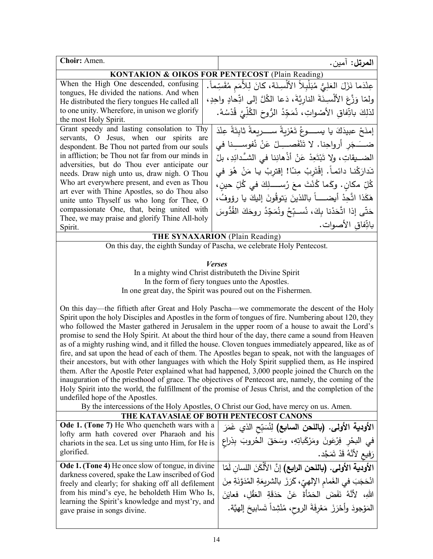| Choir: Amen.                                                                                                                                                                                                                                                                                                                                                                                                                                                                                                                                                                                                                                                                                                                                                                                                                                                                                                                                                                                                                                                                                                                                                                                                                                           | ا <b>لمرتل:</b> آمين.                                                         |  |
|--------------------------------------------------------------------------------------------------------------------------------------------------------------------------------------------------------------------------------------------------------------------------------------------------------------------------------------------------------------------------------------------------------------------------------------------------------------------------------------------------------------------------------------------------------------------------------------------------------------------------------------------------------------------------------------------------------------------------------------------------------------------------------------------------------------------------------------------------------------------------------------------------------------------------------------------------------------------------------------------------------------------------------------------------------------------------------------------------------------------------------------------------------------------------------------------------------------------------------------------------------|-------------------------------------------------------------------------------|--|
| <b>KONTAKION &amp; OIKOS FOR PENTECOST (Plain Reading)</b>                                                                                                                                                                                                                                                                                                                                                                                                                                                                                                                                                                                                                                                                                                                                                                                                                                                                                                                                                                                                                                                                                                                                                                                             |                                                                               |  |
| When the High One descended, confusing                                                                                                                                                                                                                                                                                                                                                                                                                                                                                                                                                                                                                                                                                                                                                                                                                                                                                                                                                                                                                                                                                                                                                                                                                 | عِنْدَما نَزَلَ العَلِيُّ مُبَلْبِلاً الأَلْسِنَة، كانَ لِلأَمَمِ مُقَسِّماً. |  |
| tongues, He divided the nations. And when                                                                                                                                                                                                                                                                                                                                                                                                                                                                                                                                                                                                                                                                                                                                                                                                                                                                                                                                                                                                                                                                                                                                                                                                              | ولمّا وَزَّعَ الأَلْسِنَةَ الناريَّةَ، دَعا الكُلَّ إلى اتِّحادٍ واحِدٍ،      |  |
| He distributed the fiery tongues He called all<br>to one unity. Wherefore, in unison we glorify                                                                                                                                                                                                                                                                                                                                                                                                                                                                                                                                                                                                                                                                                                                                                                                                                                                                                                                                                                                                                                                                                                                                                        |                                                                               |  |
| the most Holy Spirit.                                                                                                                                                                                                                                                                                                                                                                                                                                                                                                                                                                                                                                                                                                                                                                                                                                                                                                                                                                                                                                                                                                                                                                                                                                  | لذلِكَ باتِّفاقِ الأَصْواتِ، نُمَجِّدُ الرُّوحَ الكُلِّيَّ قُدْسُهُ.          |  |
| Grant speedy and lasting consolation to Thy                                                                                                                                                                                                                                                                                                                                                                                                                                                                                                                                                                                                                                                                                                                                                                                                                                                                                                                                                                                                                                                                                                                                                                                                            | إمنَحْ عبيدَكَ يا يســـــوعُ تَعْزيةً ســـــريعةً ثابِتَةً عِنْدَ             |  |
| servants, O Jesus, when our spirits are                                                                                                                                                                                                                                                                                                                                                                                                                                                                                                                                                                                                                                                                                                                                                                                                                                                                                                                                                                                                                                                                                                                                                                                                                |                                                                               |  |
| despondent. Be Thou not parted from our souls                                                                                                                                                                                                                                                                                                                                                                                                                                                                                                                                                                                                                                                                                                                                                                                                                                                                                                                                                                                                                                                                                                                                                                                                          | ضــَــَــذِر أرواحِنا. لا تَنْفَصـــِــلْ عَنْ نُفوســـنا في                  |  |
| in affliction; be Thou not far from our minds in                                                                                                                                                                                                                                                                                                                                                                                                                                                                                                                                                                                                                                                                                                                                                                                                                                                                                                                                                                                                                                                                                                                                                                                                       | الضـــيقاتِ، ولا تَبْتَعِدْ عَنْ أَذْهانِنا في الشَّدائِدِ، بلْ               |  |
| adversities, but do Thou ever anticipate our                                                                                                                                                                                                                                                                                                                                                                                                                                                                                                                                                                                                                                                                                                                                                                                                                                                                                                                                                                                                                                                                                                                                                                                                           | تَدارَكْنا دائماً. إقْتَرِبْ مِنّا! إقترِبْ يا مَنْ هُوَ في                   |  |
| needs. Draw nigh unto us, draw nigh. O Thou<br>Who art everywhere present, and even as Thou                                                                                                                                                                                                                                                                                                                                                                                                                                                                                                                                                                                                                                                                                                                                                                                                                                                                                                                                                                                                                                                                                                                                                            |                                                                               |  |
| art ever with Thine Apostles, so do Thou also                                                                                                                                                                                                                                                                                                                                                                                                                                                                                                                                                                                                                                                                                                                                                                                                                                                                                                                                                                                                                                                                                                                                                                                                          | كُلِّ مكان. وكَما كُنْتَ معَ رُســـــلِكَ فـى كُلِّ حين،                      |  |
| unite unto Thyself us who long for Thee, O                                                                                                                                                                                                                                                                                                                                                                                                                                                                                                                                                                                                                                                                                                                                                                                                                                                                                                                                                                                                                                                                                                                                                                                                             | هَكَذا اتَّحِدْ أيضـــــاً باللذينَ يَتوقُونَ إليكَ يا رؤوفُ،                 |  |
| compassionate One, that, being united with                                                                                                                                                                                                                                                                                                                                                                                                                                                                                                                                                                                                                                                                                                                                                                                                                                                                                                                                                                                                                                                                                                                                                                                                             | حَتَّى إذا اتَّحَدْنا بكَ، نُسـبِّحُ ونُمَجِّدُ روحَكَ القُدُّوسَ             |  |
| Thee, we may praise and glorify Thine All-holy                                                                                                                                                                                                                                                                                                                                                                                                                                                                                                                                                                                                                                                                                                                                                                                                                                                                                                                                                                                                                                                                                                                                                                                                         |                                                                               |  |
| Spirit.                                                                                                                                                                                                                                                                                                                                                                                                                                                                                                                                                                                                                                                                                                                                                                                                                                                                                                                                                                                                                                                                                                                                                                                                                                                | باتِّفاق الأصوات.                                                             |  |
| THE SYNAXARION (Plain Reading)                                                                                                                                                                                                                                                                                                                                                                                                                                                                                                                                                                                                                                                                                                                                                                                                                                                                                                                                                                                                                                                                                                                                                                                                                         |                                                                               |  |
|                                                                                                                                                                                                                                                                                                                                                                                                                                                                                                                                                                                                                                                                                                                                                                                                                                                                                                                                                                                                                                                                                                                                                                                                                                                        | On this day, the eighth Sunday of Pascha, we celebrate Holy Pentecost.        |  |
| <b>Verses</b><br>In a mighty wind Christ distributeth the Divine Spirit<br>In the form of fiery tongues unto the Apostles.<br>In one great day, the Spirit was poured out on the Fishermen.<br>On this day—the fiftieth after Great and Holy Pascha—we commemorate the descent of the Holy<br>Spirit upon the holy Disciples and Apostles in the form of tongues of fire. Numbering about 120, they<br>who followed the Master gathered in Jerusalem in the upper room of a house to await the Lord's<br>promise to send the Holy Spirit. At about the third hour of the day, there came a sound from Heaven<br>as of a mighty rushing wind, and it filled the house. Cloven tongues immediately appeared, like as of<br>fire, and sat upon the head of each of them. The Apostles began to speak, not with the languages of<br>their ancestors, but with other languages with which the Holy Spirit supplied them, as He inspired<br>them. After the Apostle Peter explained what had happened, 3,000 people joined the Church on the<br>inauguration of the priesthood of grace. The objectives of Pentecost are, namely, the coming of the<br>Holy Spirit into the world, the fulfillment of the promise of Jesus Christ, and the completion of the |                                                                               |  |
| undefiled hope of the Apostles.                                                                                                                                                                                                                                                                                                                                                                                                                                                                                                                                                                                                                                                                                                                                                                                                                                                                                                                                                                                                                                                                                                                                                                                                                        |                                                                               |  |
| By the intercessions of the Holy Apostles, O Christ our God, have mercy on us. Amen.                                                                                                                                                                                                                                                                                                                                                                                                                                                                                                                                                                                                                                                                                                                                                                                                                                                                                                                                                                                                                                                                                                                                                                   | THE KATAVASIAE OF BOTH PENTECOST CANONS                                       |  |
| Ode 1. (Tone 7) He Who quencheth wars with a                                                                                                                                                                                                                                                                                                                                                                                                                                                                                                                                                                                                                                                                                                                                                                                                                                                                                                                                                                                                                                                                                                                                                                                                           |                                                                               |  |
| lofty arm hath covered over Pharaoh and his                                                                                                                                                                                                                                                                                                                                                                                                                                                                                                                                                                                                                                                                                                                                                                                                                                                                                                                                                                                                                                                                                                                                                                                                            | الأودية الأولى. (باللحن السابع) لِنُسَبِّح الذي غَمَرَ                        |  |
| chariots in the sea. Let us sing unto Him, for He is                                                                                                                                                                                                                                                                                                                                                                                                                                                                                                                                                                                                                                                                                                                                                                                                                                                                                                                                                                                                                                                                                                                                                                                                   | في البحْرِ فِرْعَونَ ومَرْكَباتِهِ، وسَحَقَ الْحُروبَ بِذِراعِ                |  |
| glorified.                                                                                                                                                                                                                                                                                                                                                                                                                                                                                                                                                                                                                                                                                                                                                                                                                                                                                                                                                                                                                                                                                                                                                                                                                                             | رَفِيعِ لِأَنَّهُ قَدْ تَمَجَّد.                                              |  |
| Ode 1. (Tone 4) He once slow of tongue, in divine                                                                                                                                                                                                                                                                                                                                                                                                                                                                                                                                                                                                                                                                                                                                                                                                                                                                                                                                                                                                                                                                                                                                                                                                      | الأودية الأولى. (باللحن الرابع) إنَّ الأَلْكَنَ اللسانِ لَمّا                 |  |
| darkness covered, spake the Law inscribed of God                                                                                                                                                                                                                                                                                                                                                                                                                                                                                                                                                                                                                                                                                                                                                                                                                                                                                                                                                                                                                                                                                                                                                                                                       | انْحَجَبَ في الغَمام الإلهيِّ، كَرَزَ بالشريعَةِ المُدَوَّنَةِ مِنَ           |  |
| freely and clearly; for shaking off all defilement                                                                                                                                                                                                                                                                                                                                                                                                                                                                                                                                                                                                                                                                                                                                                                                                                                                                                                                                                                                                                                                                                                                                                                                                     |                                                                               |  |
| from his mind's eye, he beholdeth Him Who Is,<br>learning the Spirit's knowledge and myst'ry, and                                                                                                                                                                                                                                                                                                                                                                                                                                                                                                                                                                                                                                                                                                                                                                                                                                                                                                                                                                                                                                                                                                                                                      | اللهِ، لأَنَّهُ نَفَضَ الْحَمْأَةَ عَنْ حَدَقَةِ الْعَقْلِ، فعايَنَ           |  |
| gave praise in songs divine.                                                                                                                                                                                                                                                                                                                                                                                                                                                                                                                                                                                                                                                                                                                                                                                                                                                                                                                                                                                                                                                                                                                                                                                                                           | المَوْجودَ وأَحْرَزَ مَعْرِفَةَ الروحِ، مُنْشِداً تَسابيحَ إلهيَّة.           |  |
|                                                                                                                                                                                                                                                                                                                                                                                                                                                                                                                                                                                                                                                                                                                                                                                                                                                                                                                                                                                                                                                                                                                                                                                                                                                        |                                                                               |  |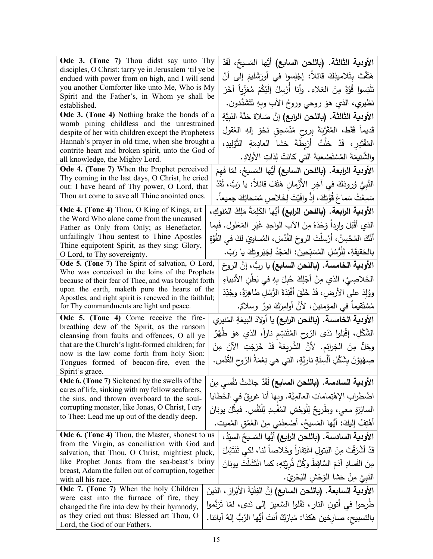| Ode 3. (Tone 7) Thou didst say unto Thy                                                              | الأودية الثالثة. (باللحن السابع) أيُّها المَسيحُ، لَقَدْ                                                                                          |
|------------------------------------------------------------------------------------------------------|---------------------------------------------------------------------------------------------------------------------------------------------------|
| disciples, O Christ: tarry ye in Jerusalem 'til ye be                                                | هَتَفْتَ بِتَلاميذِكَ قائلاً: إجْلِسوا في أُورَشَليمَ إلى أَنْ                                                                                    |
| endued with power from on high, and I will send<br>you another Comforter like unto Me, Who is My     |                                                                                                                                                   |
| Spirit and the Father's, in Whom ye shall be                                                         | تَلْبَسوا قُوَّةً مِنَ العَلاء. وأنا أَرْسِلُ إِلَيْكُمْ مُعَزِّياً آخَرَ                                                                         |
| established.                                                                                         | نَظيري، الذي هوَ روحي وروحُ الأَبِ وبهِ تَتَشَدَّدون.                                                                                             |
| Ode 3. (Tone 4) Nothing brake the bonds of a                                                         | الأودية الثالثة. (باللحن الرابع) إنَّ صَلاةَ حَنَّةَ النَبِيَّةِ                                                                                  |
| womb pining childless and the unrestrained<br>despite of her with children except the Prophetess     | قَديماً فَقَط، المُقَرَّبَةَ بِروحٍ مُنْسَحِقٍ نَحْوَ إِلهِ العُقولِ                                                                              |
| Hannah's prayer in old time, when she brought a                                                      | المُقْتَدِرِ ، قَدْ حَلّتْ أَرْبِطَةَ حَشا العادِمَةِ التَّوْلِيدِ،                                                                               |
| contrite heart and broken spirit, unto the God of                                                    |                                                                                                                                                   |
| all knowledge, the Mighty Lord.                                                                      | والشَّتيمَةَ المُسْتَصْعَبَةَ التي كانَتْ لِذاتِ الأولادِ.                                                                                        |
| Ode 4. (Tone 7) When the Prophet perceived                                                           | الأودية الرابعة. (باللحن السابع) أيُّها المَسيحُ، لمّا فَهمَ                                                                                      |
| Thy coming in the last days, O Christ, he cried<br>out: I have heard of Thy power, O Lord, that      | النَّبِيُّ وُرودَكَ في آخِرِ الأَزْمانِ هَتَفَ قائلاً: يا رَبُّ، لَقَدْ                                                                           |
| Thou art come to save all Thine anointed ones.                                                       |                                                                                                                                                   |
|                                                                                                      | سَمِعْتُ سَماعَ قُوَّتِكَ، إذْ وافَيْتَ لِخَلاصِ مُسَحائِكَ جميعاً.                                                                               |
| Ode 4. (Tone 4) Thou, O King of Kings, art<br>the Word Who alone came from the uncaused              | الأودية الرابعة. (باللحن الرابع) أيُّها الكَلِمَةُ مَلِكُ المُلوكِ،                                                                               |
| Father as Only from Only; as Benefactor,                                                             | الذي أَقْبَلَ وارداً وَحْدَهُ مِنَ الآبِ الواحِدِ غَيْرِ المَعْلولِ. فَبِما                                                                       |
| unfailingly Thou sentest to Thine Apostles                                                           | أَنَّكَ المُحْسِنُ، أَرْسلْتَ الروحَ القُدُسَ، المُساوِيَ لكَ في القُوَّةِ                                                                        |
| Thine equipotent Spirit, as they sing: Glory,                                                        | بالحَقيقَةِ، لِلْرُسُلِ المُسَبِّحينَ: المَجْدُ لِجَبَروتِكَ يا رَبّ.                                                                             |
| O Lord, to Thy sovereignty.                                                                          |                                                                                                                                                   |
| Ode 5. (Tone 7) The Spirit of salvation, O Lord,<br>Who was conceived in the loins of the Prophets   | الأودية الخامسة. (باللحن السابع) يا ربٌّ، إنَّ الروحَ                                                                                             |
| because of their fear of Thee, and was brought forth                                                 | الخَلاصِيَّ، الذي مِنْ أَجْلِكَ حُبِلَ بِهِ في بَطْنِ الأنبياءِ                                                                                   |
| upon the earth, maketh pure the hearts of the                                                        | ووُلِدَ على الأرضِ، قَدْ خَلَقَ أَفْئِدَةَ الرُّسُلِ طَاهِرَةً، وجُدِّدَ                                                                          |
| Apostles, and right spirit is renewed in the faithful;                                               |                                                                                                                                                   |
| for Thy commandments are light and peace.                                                            | مُسْتَقيماً في المؤمنينَ، لأنَّ أوامِرَكَ نورٌ وسلامٌ.                                                                                            |
| Ode 5. (Tone 4) Come receive the fire-<br>breathing dew of the Spirit, as the ransom                 | الأودية الخامسة. (باللحن الرابع) يا أولادَ البيعَةِ المُنيري                                                                                      |
| cleansing from faults and offences, O all ye                                                         | الشُّكْلِ، إقْبَلوا نَدَى الرّوح المُتَنَسِّم ناراً، الذي هوَ طَهْرٌ                                                                              |
| that are the Church's light-formed children; for                                                     | وحَلٌّ مِنَ الْجَرائِمِ. لأَنَّ الشَّرِيعَةَ قَدْ خَرَجَتِ الآنَ مِنْ                                                                             |
| now is the law come forth from holy Sion:                                                            | صِهْيَوْنَ بِشَكْلِ أَلْسِنَةٍ نارِيَّةٍ، التي هي نِعْمَةُ الرّوحِ القُدُسِ.                                                                      |
| Tongues formed of beacon-fire, even the<br>Spirit's grace.                                           |                                                                                                                                                   |
| <b>Ode 6. (Tone 7)</b> Sickened by the swells of the                                                 | الأودية السادسة. (باللحن السابع) أَقَدْ جاشَتْ نَفْسى مِنَ                                                                                        |
| cares of life, sinking with my fellow seafarers,                                                     |                                                                                                                                                   |
| the sins, and thrown overboard to the soul-                                                          | اضْطِراب الإهْتِماماتِ العالمِيَّة. وبها أنا غربقٌ في الخَطايا                                                                                    |
| corrupting monster, like Jonas, O Christ, I cry                                                      | السائِرَةِ معي، وطَرِيحٌ لِلْوَحْشِ المُفْسِدِ لِلْنَّفْسِ. فمِثْلَ يونانَ                                                                        |
| to Thee: Lead me up out of the deadly deep.                                                          | أَهْتِفُ إِلَيْكَ: أَيُّهَا الْمَسِيحُ، أَصْعِدْني مِنَ الْعُمْقِ الْمُميتِ.                                                                      |
| Ode 6. (Tone 4) Thou, the Master, shonest to us                                                      | الأودية السادسة. (باللحن الرابع) أيُّها المَسيحُ السيّدُ،                                                                                         |
| from the Virgin, as conciliation with God and                                                        |                                                                                                                                                   |
| salvation, that Thou, O Christ, mightiest pluck,                                                     | قَدْ أَشْرَقْتَ مِنَ البَتولِ اغْتِفاراً وخَلاصاً لنا، لكي تَنْتَشِلَ                                                                             |
| like Prophet Jonas from the sea-beast's briny<br>breast, Adam the fallen out of corruption, together | مِنَ الفَسادِ آدَمَ السَّاقِطَ وكُلَّ ذُرِيَّتِهِ، كما انْتَشَلْتَ يونانَ                                                                         |
| with all his race.                                                                                   | النَبِيَّ مِنْ حَشا الوَحْشِ الْبَحْرِيِّ .                                                                                                       |
| <b>Ode 7. (Tone 7)</b> When the holy Children                                                        | الأودية السابعة. (باللحن السابع) إنَّ الفِتْيَةَ الأَبْرارَ ، الذينَ                                                                              |
| were cast into the furnace of fire, they                                                             |                                                                                                                                                   |
| changed the fire into dew by their hymnody,<br>as they cried out thus: Blessed art Thou, O           | طَرِحوا في أتون النار ، نَقَلوا السَّعيرَ ۖ إِلَى نَدى، لَمَّا تَرَنَّموا<br>بالتسبيح، صارِخينَ هكذا: مُبارَكٌ أنتَ أَيُّها الرَّبُّ إلهُ آبائنا. |
|                                                                                                      |                                                                                                                                                   |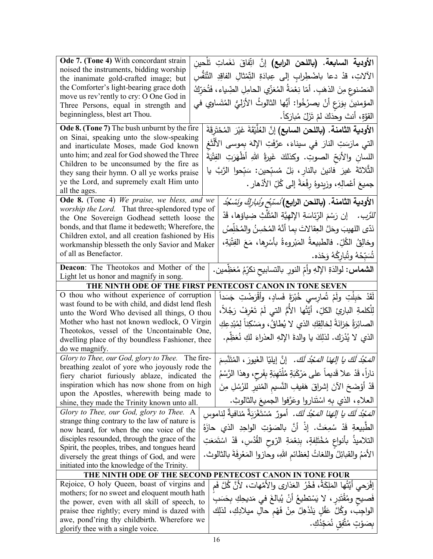| Ode 7. (Tone 4) With concordant strain                                                              |  | ا <b>لأودية السابعة. (باللحن الرابع)</b> إنَّ اتِّفاقَ نَغَماتِ تَلْحين               |
|-----------------------------------------------------------------------------------------------------|--|---------------------------------------------------------------------------------------|
| noised the instruments, bidding worship                                                             |  | الآلاتِ، قدْ دعا باضْطِرابِ إلى عِبادَةِ التِّمْثالِ الفاقِدِ التَّنَفُّسِ            |
| the inanimate gold-crafted image; but                                                               |  |                                                                                       |
| the Comforter's light-bearing grace doth<br>move us rev'rently to cry: O One God in                 |  | المَصْنوعِ مِنَ الذهَبِ. أمّا نِعْمَةُ المُعَزّي الحامِلِ الضِّياءِ، فَتُحَرِّكُ      |
| Three Persons, equal in strength and                                                                |  | المؤمنينَ بِوَرَعِ أَنْ يصرُخُوا: أَيُّها الثالوثُ الأزليُّ المُتَساوي في             |
| beginningless, blest art Thou.                                                                      |  | القوَّةِ، أنتَ وحدَكَ لمْ تَزَلْ مُبارَكاً.                                           |
| Ode 8. (Tone 7) The bush unburnt by the fire                                                        |  | الأودية الثامنة. (باللحن السابع) إنَّ العُلَّيْقَةَ غَيْرَ المُخْتَرِقَةَ             |
| on Sinai, speaking unto the slow-speaking                                                           |  | التي مارَسَتِ النارَ في سيناءَ، عرَّفَتِ الإِلهَ بِموسى الأَلْثَغ                     |
| and inarticulate Moses, made God known                                                              |  |                                                                                       |
| unto him; and zeal for God showed the Three                                                         |  | اللسانِ والأبَحِّ الصوتِ. وكذلكَ غَيرةُ اللهِ أظْهَرَتِ الفِثْيَةَ                    |
| Children to be unconsumed by the fire as<br>they sang their hymn. O all ye works praise             |  | الثَّلاثةَ غيرَ فانينَ بالنارِ ، بَلْ مُسبِّحين: سَبِّحوا الرَّبَّ يا                 |
| ye the Lord, and supremely exalt Him unto                                                           |  |                                                                                       |
| all the ages.                                                                                       |  | جميعَ أَعْمالِهِ، وزيدوهُ رِفْعَةً إلى كُلِّ الأَدْهارِ .                             |
| Ode 8. (Tone 4) We praise, we bless, and we                                                         |  | الأودية الثامنة. (باللحن الرابع) ُسسّبَرَ <i>ونُباركُ ونَسْ</i> جُدُ                  |
| worship the Lord. That three-splendored type of                                                     |  |                                                                                       |
| the One Sovereign Godhead setteth loose the                                                         |  | <i>للرَّب.</i> إن رَسْمَ الرِّئاسَةِ الإِلهيَّةِ المُثَلَّثِ ضِياؤها، قَدْ            |
| bonds, and that flame it bedeweth; Wherefore, the                                                   |  | نَدّى اللهيبَ وحَلَّ العِقالاتَ بِما أنَّهُ المُحْسِنُ والمُخَلِّصُ                   |
| Children extol, and all creation fashioned by His<br>workmanship blesseth the only Savior and Maker |  | وخالِقُ الكُلِّ. فالطبيعةُ المَبْروءةُ بأسْرِها، مَعَ الفِتْيَةِ،                     |
| of all as Benefactor.                                                                               |  | شَبّحُهُ وتُباركُهُ وَحْدَه.                                                          |
| Deacon: The Theotokos and Mother of the                                                             |  |                                                                                       |
| Light let us honor and magnify in song.                                                             |  | ا <b>لشماس:</b> لوالدَةِ الإِلهِ وأمِّ النورِ بالتسابيحِ نكرِّمُ مُعَظِمين.           |
|                                                                                                     |  | THE NINTH ODE OF THE FIRST PENTECOST CANON IN TONE SEVEN                              |
| O thou who without experience of corruption                                                         |  | لَقَدْ حَبِلْتِ ولَمْ تُمارسي خُبْرَةَ فَسادٍ، وأَقْرَضْتِ جَسَداً                    |
| wast found to be with child, and didst lend flesh                                                   |  |                                                                                       |
| unto the Word Who devised all things, O thou                                                        |  | لِلْكلمةِ البارئِ الكلِّ، أَيَّتُها الأُمُّ التي لَمْ تَعْرِفْ رَجُلاً،               |
| Mother who hast not known wedlock, O Virgin                                                         |  | الصائِرَةُ خِزانَةً لِخالِقِكِ الذي لا يُطاقُ، ومَسْكِناً لِمُبْدِعِكِ                |
| Theotokos, vessel of the Uncontainable One,                                                         |  | الذي لا يُدْرَك. لذلِكَ يا والدةَ الإلهِ العذراءَ لكِ نُعَظِّم.                       |
| dwelling place of thy boundless Fashioner, thee<br>do we magnify.                                   |  |                                                                                       |
| Glory to Thee, our God, glory to Thee. The fire-                                                    |  | الْمَحْدُ لَكَ يا إِلَهَنا الْمَحْدُ لَكَ. ۚ إِنَّ إِيليّا الغَيورَ ، المُتَنَّسِمَ   |
| breathing zealot of yore who joyously rode the                                                      |  |                                                                                       |
| fiery chariot furiously ablaze, indicated the                                                       |  | ناراً، قَدْ علا قَديماً على مَرْكَبَةٍ مُلْتَهِبَةٍ بِفَرحٍ، وهذا الرَّسْمُ           |
| inspiration which has now shone from on high                                                        |  | قَدْ أَوْضَحَ الآنَ إشراقَ هَفيفِ النَّسيم المُنير للرُسُلِ مِنَ                      |
| upon the Apostles, wherewith being made to<br>shine, they made the Trinity known unto all.          |  | العلاءِ، الذي بِهِ اسْتَناروا وعَرَّفوا الجميعَ بالثالوثِ.                            |
| Glory to Thee, our God, glory to Thee. A                                                            |  | <i>المَجْدُ لَكَ يا إِلهَنا المَجْدُ لَكَ.</i> أمورٌ  مُسْتَغْرَبَةٌ مُنافيةٌ لِناموس |
| strange thing contrary to the law of nature is                                                      |  |                                                                                       |
| now heard, for when the one voice of the                                                            |  | الطَّبِيعةِ قَدْ سُمِعَتْ. إذْ أنَّ بالصَوْتِ الواحِدِ الذي حازَهُ                    |
| disciples resounded, through the grace of the                                                       |  | التلاميذُ بأنواعٍ مُخْتَلِفةٍ، بِنِعْمَةِ الرّوحِ الْقُدُسِ، قَدْ اسْتَمَعَتِ         |
| Spirit, the peoples, tribes, and tongues heard                                                      |  |                                                                                       |
| diversely the great things of God, and were                                                         |  | الأَمَمُ والقبائِلُ واللُّغاتُ لِعَظَّائِمِ اللَّهِ، وحازوا المَعْرِفَةَ بالثالوث.    |
| initiated into the knowledge of the Trinity.                                                        |  |                                                                                       |
|                                                                                                     |  | THE NINTH ODE OF THE SECOND PENTECOST CANON IN TONE FOUR                              |
| Rejoice, O holy Queen, boast of virgins and                                                         |  | إفْرَحي أَيَّتُها المَلِكَةُ، فَخْرُ العَذارِي والأُمَّهات، لأَنَّ كُلَّ فَم          |
| mothers; for no sweet and eloquent mouth hath<br>the power, even with all skill of speech, to       |  | فَصيح ومُقْتَدِرٍ ، لا يَسْتطيعُ أَنْ يُبالغَ في مَديحِكِ بِحَسَبِ                    |
| praise thee rightly; every mind is dazed with                                                       |  | الواجِبُ، وكُلَّ عَقْلٍ يَنْذَهِلُ مِنْ فَهْمِ حالِ ميلادِكِ، لذلِك                   |
| awe, pond'ring thy childbirth. Wherefore we                                                         |  |                                                                                       |
| glorify thee with a single voice.                                                                   |  | بِصَوْتٍ مُتَّفِقٍ نُمَجِّدُكِ.                                                       |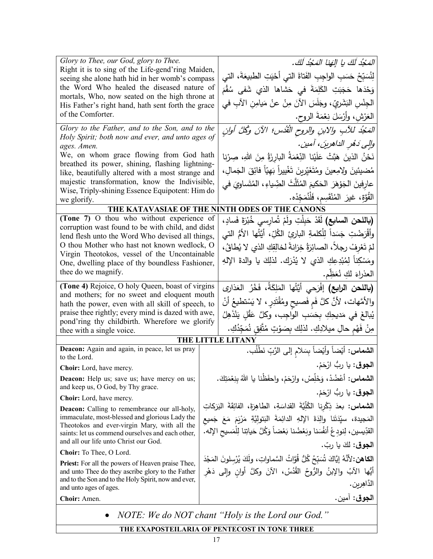| Glory to Thee, our God, glory to Thee.<br>Right it is to sing of the Life-gend'ring Maiden,<br>seeing she alone hath hid in her womb's compass<br>the Word Who healed the diseased nature of |  | الْمَحْدُ لَكَ يا إِلَهَا الْمَحْدُ لَكَ.                                                |  |  |
|----------------------------------------------------------------------------------------------------------------------------------------------------------------------------------------------|--|------------------------------------------------------------------------------------------|--|--|
|                                                                                                                                                                                              |  | لِنُسَبِّحْ حَسَبِ الواجِبِ الفَتاةَ التي أَحْيَتِ الطبيعَةَ، التي                       |  |  |
|                                                                                                                                                                                              |  | وَحْدَها حَجَبَتِ الكَلِمَةَ في حَشاها الذي شَفى سُقْمَ                                  |  |  |
| mortals, Who, now seated on the high throne at<br>His Father's right hand, hath sent forth the grace                                                                                         |  | الْجِنْسِ البَشَرِيِّ، وجَلَسَ الآنَ مِنْ عنْ مَيامِنِ الآبِ في                          |  |  |
| of the Comforter.                                                                                                                                                                            |  | العَرْشِ، وأَرْسَلَ نِعْمَةَ الروح.                                                      |  |  |
| Glory to the Father, and to the Son, and to the                                                                                                                                              |  | المَجْدُ للأبِ ولابنِ والروحِ القُدُسِ؛ الآنَ وكُلَّ أُولنِ                              |  |  |
| Holy Spirit; both now and ever, and unto ages of<br>ages. Amen.                                                                                                                              |  | والِي دَهُرِ الداهرينَ، آمين.                                                            |  |  |
| We, on whom grace flowing from God hath                                                                                                                                                      |  | نَحْنُ الذينَ هَبَّتْ عَلَيْنا النِّعْمَةُ البارزَةُ مِنَ اللهِ، صِرْنا                  |  |  |
| breathed its power, shining, flashing lightning-                                                                                                                                             |  | مُضيئينَ ولِامِعينَ ومُتَغَيّرينَ تَغْييراً بَهيّاً فائِقَ الجَمالِ،                     |  |  |
| like, beautifully altered with a most strange and<br>majestic transformation, know the Indivisible,                                                                                          |  | عارفينَ الجَوْهَرَ الحَكيمَ المُثَلّثَ الضِّياءِ ، المُتَساوِيَ في                       |  |  |
| Wise, Triply-shining Essence Equipotent: Him do                                                                                                                                              |  | القُوَّة، غيرَ المُنْقَسِم، فَلْنُمَجِّدْه.                                              |  |  |
| we glorify.                                                                                                                                                                                  |  | THE KATAVASIAE OF THE NINTH ODES OF THE CANONS                                           |  |  |
| (Tone 7) O thou who without experience of                                                                                                                                                    |  | (باللحن ال <b>سابع)</b> لَقَدْ حَبِلْتِ ولَمْ تُمارسي خُبْرَةَ فَسادٍ،                   |  |  |
| corruption wast found to be with child, and didst                                                                                                                                            |  | وأَقْرَضْتِ جَسَداً لِلْكلمةِ الباريِّ الكُلِّ، أَيَّتُها الأُمُّ التي                   |  |  |
| lend flesh unto the Word Who devised all things,<br>O thou Mother who hast not known wedlock, O                                                                                              |  | لمْ تَعْرِفْ رِجِلاً، الصائِرَةُ خِزانةً لخالِقِكِ الذي لا يُطاقُ،                       |  |  |
| Virgin Theotokos, vessel of the Uncontainable                                                                                                                                                |  |                                                                                          |  |  |
| One, dwelling place of thy boundless Fashioner,<br>thee do we magnify.                                                                                                                       |  | ومَسْكِناً لِمُبْدِعِكِ الذي لا يُدْرَك. لذلِكَ يا والدةَ الإِلهِ                        |  |  |
|                                                                                                                                                                                              |  | العذراءَ لَكِ نُعَظِّم.                                                                  |  |  |
| (Tone 4) Rejoice, O holy Queen, boast of virgins<br>and mothers; for no sweet and eloquent mouth                                                                                             |  | (باللحن الرابع) إفْرَحي أيَّتُها المَلِكَةُ، فَخْرُ العَذَار <i>ِي</i>                   |  |  |
| hath the power, even with all skill of speech, to                                                                                                                                            |  | والأمَّهات، لأنَّ كلَّ فَمِ فَصيحٍ ومُقْتَدِرٍ ، لا يَسْتطيعُ أنْ                        |  |  |
| praise thee rightly; every mind is dazed with awe,<br>pond'ring thy childbirth. Wherefore we glorify                                                                                         |  | يُبالغَ في مَديحِكِ بِحَسَبِ الواجِبِ، وكلَّ عَقْلٍ يَنْذَهِلُ                           |  |  |
| thee with a single voice.                                                                                                                                                                    |  | مِنْ فَهْمِ حالِ ميلادِكِ. لذلِكَ بِصَوْتٍ مُتَّفِقٍ نُمَجِّدُكِ.                        |  |  |
|                                                                                                                                                                                              |  | THE LITTLE LITANY                                                                        |  |  |
| Deacon: Again and again, in peace, let us pray<br>to the Lord.                                                                                                                               |  | ا <b>لشماس:</b> أيْضاً وأيْضاً بِسَلامِ إلى الرَّبِّ نَطْلُب.                            |  |  |
| <b>Choir:</b> Lord, have mercy.                                                                                                                                                              |  | ا <b>لجوق</b> : يا ربُّ ارْحَمْ.                                                         |  |  |
| <b>Deacon:</b> Help us; save us; have mercy on us;                                                                                                                                           |  | ا <b>لشماس:</b> أعْضُدْ، وَخَلِّصْ، وارْحَمْ، واحفَظْنا يا اللهُ بنِعْمَتِكَ.            |  |  |
| and keep us, O God, by Thy grace.<br>Choir: Lord, have mercy.                                                                                                                                |  | ا <b>لجوق</b> : يا ربُ ارْحَمْ.                                                          |  |  |
| <b>Deacon:</b> Calling to remembrance our all-holy,                                                                                                                                          |  | ا <b>لشماس:</b> بعدَ ذِكْرِنا الكُلِّيَّةَ القداسَةِ، الطاهِرَةَ، الفائِقَةَ البَرَكاتِ  |  |  |
| immaculate, most-blessed and glorious Lady the<br>Theotokos and ever-virgin Mary, with all the                                                                                               |  | المَجيدة، سيِّدَتَنا والِدَةَ الإِلهِ الدائِمَةَ البَتولِيَّةِ مَرْيَمَ مَعَ جَميع       |  |  |
| saints: let us commend ourselves and each other,                                                                                                                                             |  | القدِّيسين، لِنودِعْ أَنفُسَنا وبَعْضُنا بَعْضاً وَكُلَّ حَياتِنا لِلْمَسيحِ الإِله.     |  |  |
| and all our life unto Christ our God.                                                                                                                                                        |  | الجوق: لَكَ يا ربّ.                                                                      |  |  |
| Choir: To Thee, O Lord.                                                                                                                                                                      |  | الكاهن: لأنَّهُ إِيَّاكَ شُبَبِّحُ كُلُّ قُوَّاتُ السَّماواتِ، ولَكَ يُرْسِلونَ المَجْدَ |  |  |
| <b>Priest:</b> For all the powers of Heaven praise Thee,<br>and unto Thee do they ascribe glory to the Father                                                                                |  | أَيُّها الآبُ والإِبنُ والرُّوحُ القُدُسُ، الآنَ وكلَّ أوانٍ وإِلى دَهْرِ                |  |  |
| and to the Son and to the Holy Spirit, now and ever,<br>and unto ages of ages.                                                                                                               |  | الدّاهِرين.                                                                              |  |  |
| Choir: Amen.                                                                                                                                                                                 |  | ا <b>لجوق</b> : آمين.                                                                    |  |  |
| NOTE: We do NOT chant "Holy is the Lord our God."                                                                                                                                            |  |                                                                                          |  |  |
| THE EXAPOSTEILARIA OF PENTECOST IN TONE THREE                                                                                                                                                |  |                                                                                          |  |  |
|                                                                                                                                                                                              |  |                                                                                          |  |  |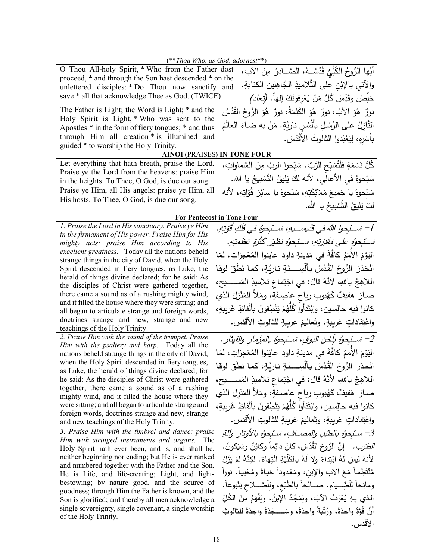|                                                                                                            | $(**Thou Who, as God, adornest**)$                                                  |  |  |
|------------------------------------------------------------------------------------------------------------|-------------------------------------------------------------------------------------|--|--|
| O Thou All-holy Spirit, * Who from the Father dost                                                         | أَيُّها الرُّوحُ الكُلِّيُّ قُدْسُــهُ، الصَّـــادِرُ مِنَ الآبِ،                   |  |  |
| proceed, * and through the Son hast descended * on the<br>unlettered disciples: * Do Thou now sanctify and | والآتي بالإبْن على التَّلاميذِ الجَّاهِلينَ الكتابةِ.                               |  |  |
| save * all that acknowledge Thee as God. (TWICE)                                                           | خَلِّصْ وقَدِّسْ كُلَّ مَنْ يَعْرِفُونَكَ إِلْهاً. (تُع <i>اد)</i>                  |  |  |
| The Father is Light; the Word is Light; * and the                                                          | نورٌ ۚ هُوَ الآبُ، نورٌ ۖ هُوَ الْكَلِمَةُ، نورٌ ۖ هُوَ الرُّوحُ القُدُسُ           |  |  |
| Holy Spirit is Light, * Who was sent to the                                                                |                                                                                     |  |  |
| Apostles * in the form of fiery tongues; * and thus                                                        | النَّازِلُ على الرُّسُلِ بِأَلْسُنِ نارِيَّةٍ. مَنْ بِهِ ضباءَ العالَمُ             |  |  |
| through Him all creation * is illumined and                                                                | بِأَسْرِهِ، لِيَعْبُدوا الثالوثَ الأَقْدَسَ.                                        |  |  |
| guided * to worship the Holy Trinity.                                                                      |                                                                                     |  |  |
|                                                                                                            | <b>AINOI</b> (PRAISES) IN TONE FOUR                                                 |  |  |
| Let everything that hath breath, praise the Lord.                                                          | كُلُّ نَسَمَةٍ فلْتُسَبِّحِ الرَّبِّ. سَبِّحوا الربَّ مِنَ السَّماواتِ،             |  |  |
| Praise ye the Lord from the heavens: praise Him<br>in the heights. To Thee, O God, is due our song.        | سَبِّحوهُ في الأعالى، لأنه لكَ يَليقُ النَّسْبِيحُ يا الله.                         |  |  |
| Praise ye Him, all His angels: praise ye Him, all                                                          | سَبّحوهُ يا جَميعَ مَلائِكَتِهِ، سَبّحوهُ يا سائِرَ  قُوّاتِهِ، لأنه                |  |  |
| His hosts. To Thee, O God, is due our song.                                                                |                                                                                     |  |  |
|                                                                                                            | لكَ يَلِيقُ النَّسْبِيحُ يا الله.                                                   |  |  |
|                                                                                                            | For Pentecost in Tone Four                                                          |  |  |
| 1. Praise the Lord in His sanctuary. Praise ye Him                                                         | 1– سَـــْبِحولِ اللهَ في قَدِيســـيهِ، سَــبِّجوهُ في فَلَكِ قَوَّتِهِ.             |  |  |
| in the firmament of His power. Praise Him for His<br>mighty acts: praise Him according to His              | سَــْبِحوُه على مَقْدَرِتِهِ، سَــْبِحوُه نظْيَر كَثْرَةٍ عَظُمتِهِ.                |  |  |
| excellent greatness. Today all the nations beheld                                                          | اليَوْمَ الأُمَمُ كَافَّةً في مَدينةِ داودَ عايَنوا المُعْجِزاتِ، لمّا              |  |  |
| strange things in the city of David, when the Holy                                                         |                                                                                     |  |  |
| Spirit descended in fiery tongues, as Luke, the                                                            | انْحَدَرَ  الرُوحُ القُدُسُ  بِأَلْسِـــذَةٍ نـارِيَّةٍ، كما نَطَقَ لوقا            |  |  |
| herald of things divine declared; for he said: As<br>the disciples of Christ were gathered together,       | اللاهِجُ باللهِ، لأنَّهُ قالَ: في اجْتِماع تلاميذِ المَســـــيح،                    |  |  |
| there came a sound as of a rushing mighty wind,                                                            | صـارَ ۖ هَفيفٌ كَهُبوبِ رياحٍ عاصِـفَةٍ، ومَلأَ المَنْزِلَ الذي                     |  |  |
| and it filled the house where they were sitting; and                                                       |                                                                                     |  |  |
| all began to articulate strange and foreign words,                                                         | كانوا فيه جالِسين، وابْتَدَأُوا كُلّْهُمْ يَنْطِقونَ بأَلْفاظٍ غَريبةٍ،             |  |  |
| doctrines strange and new, strange and new<br>teachings of the Holy Trinity.                               | واعْتِقاداتٍ غريبةٍ، وتَعاليمَ غريبةٍ للثالوثِ الأَقْدَسِ.                          |  |  |
| 2. Praise Him with the sound of the trumpet. Praise                                                        | 2– سَــتِجوهُ بِلَـحْنِ النوقِ، سَــتِجوهُ بالمِزْمارِ والقيثارِ .                  |  |  |
| Him with the psaltery and harp. Today all the<br>nations beheld strange things in the city of David,       | اليَوْمَ الأُمَمُ كافَّةً في مَدينةِ داودَ عايَنوا المُعْجزاتِ، لمّا                |  |  |
| when the Holy Spirit descended in fiery tongues,                                                           |                                                                                     |  |  |
| as Luke, the herald of things divine declared; for                                                         | انْحَدَرَ  الرُوحُ  القُدُسُ  بـأَلْسِــــذَةٍ نـاريَّةٍ، كما  نَطَقَ  لوقا         |  |  |
| he said: As the disciples of Christ were gathered                                                          | اللاهِجُ باللهِ، لأَنَّهُ قالَ: في اجْتِماعِ تلاميذِ المَســـــيح،                  |  |  |
| together, there came a sound as of a rushing<br>mighty wind, and it filled the house where they            | صـارَ هَفيفٌ كَهُبوبِ رياحٍ عاصِـفَةٍ، ومَلأَ المَنْزِلَ الذي                       |  |  |
| were sitting; and all began to articulate strange and                                                      | كانوا فيه جالِسين، وابْتَدَأُوا كُلّْهُمْ يَنْطِقونَ بِأَنْفاظٍ غَرِيبةٍ،           |  |  |
| foreign words, doctrines strange and new, strange<br>and new teachings of the Holy Trinity.                | واعْتِقاداتٍ غريبةٍ، وتَعاليمَ غريبةٍ للثالوثِ الأَقْدَسِ.                          |  |  |
| 3. Praise Him with the timbrel and dance; praise                                                           | 3– سَبْحوُه بالطُبْلِ والمصــافِ، سَبْحوُه بالأوتارِ وآلةِ                          |  |  |
| Him with stringed instruments and organs.<br>The                                                           |                                                                                     |  |  |
| Holy Spirit hath ever been, and is, and shall be,                                                          | <i>الطَرَب .</i> إنَّ الرُّوحَ القُدُسَ، كانَ دائِماً وكائِنٌ وسَيَكونُ .           |  |  |
| neither beginning nor ending; but He is ever ranked<br>and numbered together with the Father and the Son.  | لأَنهُ ليسَ لَهُ ابْتِداءٌ ولا لَهُ بِالْكُلِّيَّةِ انْتِهاءٌ. لكِنَّهُ لَمْ يَزَلْ |  |  |
| He is Life, and life-creating; Light, and light-                                                           | مُنْتَظِماً مَعَ الآبِ والإبن، ومَعْدوداً حَياةً ومُحْيياً. نوراً                   |  |  |
| bestowing; by nature good, and the source of                                                               | ومانِحاً لِلْضِّــدِاءِ. صـــالِحاً بالطَّبْع، ولِلْصَّــلاح يَنْبوعاً.             |  |  |
| goodness; through Him the Father is known, and the<br>Son is glorified; and thereby all men acknowledge a  | الذي بِهِ يُعْرَفُ الآبُ، ويُمَجَّدُ الإِبنُ، ويُفْهَمُ مِنَ الكُلِّ                |  |  |
| single sovereignty, single covenant, a single worship                                                      | أَنَّ قُوَّةً واحِدَةً، ورُتْبَةً واحِدَةً، وسَــــجْدَةً واحِدَةً للثالوثِ         |  |  |
| of the Holy Trinity.                                                                                       | الأقْدَس.                                                                           |  |  |
|                                                                                                            |                                                                                     |  |  |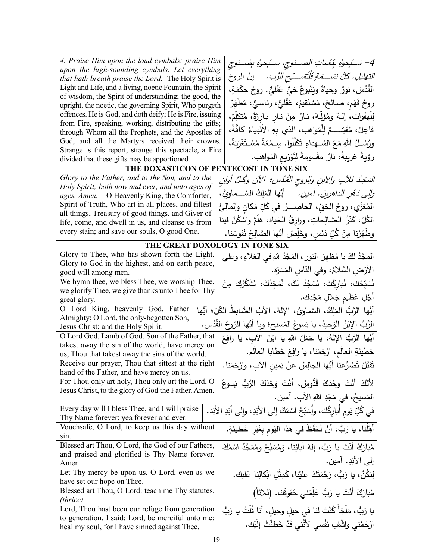| 4. Praise Him upon the loud cymbals: praise Him                                                                    | 4– سَـنّبِحوهُ بِنَغَماتِ الصــنوجِ، سَـنّبِحوهُ بِصُــنوجِ                      |
|--------------------------------------------------------------------------------------------------------------------|----------------------------------------------------------------------------------|
| upon the high-sounding cymbals. Let everything                                                                     |                                                                                  |
| that hath breath praise the Lord. The Holy Spirit is                                                               | التهليلِ. كُلُّ نَسَـــمَةٍ فَلْنُسَـــتِحِ الرَّبِ. ﴿إِنَّ الروحَ               |
| Light and Life, and a living, noetic Fountain, the Spirit<br>of wisdom, the Spirit of understanding; the good, the | القَدُسَ، نورٌ وحياةٌ ويَنْبوعٌ حَيٌّ عَقْليٌّ. روحُ حِكْمَةٍ،                   |
| upright, the noetic, the governing Spirit, Who purgeth                                                             | روحُ فَهْم، صـالـحٌ، مُسْتَقيمٌ، عَقْلـيٌّ، رئـاسـيٌّ، مُطْـهِّرٌ                |
| offences. He is God, and doth deify; He is Fire, issuing                                                           | لِلْهِفَوات، إِلـهٌ ومُؤَلِّـهٌ، نـارٌ مِنْ نـارِ بـارِزَةٌ، مُتَكَلِّمٌ،        |
| from Fire, speaking, working, distributing the gifts;                                                              |                                                                                  |
| through Whom all the Prophets, and the Apostles of                                                                 | فاعِلٌ، مُقَسِّـــمٌ لِلْمَواهب، الذي بِهِ الأَنْبِياءُ كَافَّةً،                |
| God, and all the Martyrs received their crowns.                                                                    | ورُسُــلُ اللهِ مَعَ الشــهداءِ تَكَلَّلُوا. سِــمْعَةٌ مُسْـتَغْرَبَةٌ،         |
| Strange is this report, strange this spectacle, a Fire                                                             | رؤيةٌ غربِيةٌ، نارٌ مَقْسومةٌ لِتَوْزِيعِ المَواهب.                              |
| divided that these gifts may be apportioned.                                                                       |                                                                                  |
| THE DOXASTICON OF PENTECOST IN TONE SIX                                                                            |                                                                                  |
| Glory to the Father, and to the Son, and to the                                                                    | المَجْدُ للآبِ والابنِ والروح القُدُس؛ الآنَ وكُلَّ أُوانِ                       |
| Holy Spirit; both now and ever, and unto ages of                                                                   | <i>والى دَهْرِ الداهرينَ. أمين.</i> أَيُّها المَلِكُ السَّــماويُّ،              |
| ages. Amen. O Heavenly King, the Comforter,                                                                        |                                                                                  |
| Spirit of Truth, Who art in all places, and fillest<br>all things, Treasury of good things, and Giver of           | المُعَزِّي، روحُ الحَقِّ، الحاضِـــرُ  في كُلِّ مَكانِ والمالِئُ                 |
| life, come, and dwell in us, and cleanse us from                                                                   | الكُلَّ، كَنْزُ الصَّالِحاتِ، ورازقُ الحَياةِ، هلَمَّ واسْكُنْ فينا              |
| every stain; and save our souls, O good One.                                                                       |                                                                                  |
|                                                                                                                    | وطْهِّرْنا مِنْ كُلِّ دَنَسٍ، وخَلِّصْ أَيُّها الصَّالِحُ نُفوسَنا.              |
| THE GREAT DOXOLOGY IN TONE SIX                                                                                     |                                                                                  |
| Glory to Thee, who has shown forth the Light.<br>Glory to God in the highest, and on earth peace,                  | المَجْدُ لَكَ يا مُظهِرَ النورِ ، المَجْدُ للهِ في العَلاءِ ، وعلي               |
| good will among men.                                                                                               | الأرْضِ السَّلامُ، وفي النَّاسِ المَسَرّةِ.                                      |
| We hymn thee, we bless Thee, we worship Thee,                                                                      | نُسَبِّحُكَ، نُبارِكُكَ، نَسْجُدُ لَكَ، نُمَجِّدُكَ، نَشْكُرُكَ مِنْ             |
| we glorify Thee, we give thanks unto Thee for Thy                                                                  |                                                                                  |
| great glory.                                                                                                       | أَجْلِ عَظيم جَلالِ مَجْدِك.                                                     |
| O Lord King, heavenly God, Father                                                                                  | أَيُّها الرَّبُّ المَلِكُ، السَّماويُّ، الإلهُ، الآبُ الضَّابِطُ الكُلِّ؛ أيُّها |
| Almighty; O Lord, the only-begotten Son,                                                                           |                                                                                  |
| Jesus Christ; and the Holy Spirit.                                                                                 | الرَّبُّ الإِبْنُ الوَحيدُ، يا يَسوعُ المَسيح؛ ويا أَيُّها الرّوحُ القُدُس.      |
| O Lord God, Lamb of God, Son of the Father, that                                                                   | أَيُّها الرَّبُّ الإِلهُ، يا حَمَلَ اللهِ يا ابْنَ الآبِ، يا رافِعَ              |
| takest away the sin of the world, have mercy on<br>us, Thou that takest away the sins of the world.                | خطيئةِ العالَمِ، ارْحَمْنا، يا رافِعَ خَطايا العالَمِ.                           |
| Receive our prayer, Thou that sittest at the right                                                                 |                                                                                  |
| hand of the Father, and have mercy on us.                                                                          | نَقَبَّلْ تَضَرُّعَنا أَيُّها الْجالِسُ عَنْ يَمينِ الآبِ، وارْجَمْنا.           |
| For Thou only art holy, Thou only art the Lord, O                                                                  | لأَنَّكَ أَنْتَ وَحْدَكَ قُدُّوسٌ، أَنْتَ وَحْدَكَ الرَّبُّ يَسوعُ               |
| Jesus Christ, to the glory of God the Father. Amen.                                                                | المَسيحُ، في مَجْدِ اللهِ الآبِ. آمين.                                           |
|                                                                                                                    |                                                                                  |
| Every day will I bless Thee, and I will praise<br>Thy Name forever; yea forever and ever.                          | في كُلِّ يَوم أَبارِكُكَ، وأَسَبِّحُ اسْمَكَ إلى الأَبَدِ، وإلى أَبَدِ الأَبَد.  |
| Vouchsafe, O Lord, to keep us this day without                                                                     | أَهِّلْنا، يا رَبُّ، أَنْ نُحْفَظَ في هذا اليَوم بِغَيْرِ خَطيئةٍ.               |
| sin.                                                                                                               |                                                                                  |
| Blessed art Thou, O Lord, the God of our Fathers,                                                                  | مُبارَكٌ أَنْتَ يا رَبُّ، إلهَ آبائِنا، وَمُسَبَّحٌ ومُمَجَّدٌ اسْمُكَ           |
| and praised and glorified is Thy Name forever.                                                                     |                                                                                  |
| Amen.                                                                                                              | إلى الأبَدِ. آمين.                                                               |
| Let Thy mercy be upon us, O Lord, even as we                                                                       | لتَكُنْ، يا رَبُّ، رَحْمَتُكَ علَيْنا، كَمِثْلِ اتِّكالِنا عَليك.                |
| have set our hope on Thee.                                                                                         |                                                                                  |
| Blessed art Thou, O Lord: teach me Thy statutes.                                                                   | مُبارَكٌ أَنْتَ يا رَبُّ عَلِّمْني حُقوقَك. (ثلاثاً)                             |
| (thrice)                                                                                                           |                                                                                  |
| Lord, Thou hast been our refuge from generation                                                                    | يا رَبُّ، مَلْجَأً كُنْتَ لنا في جيلِ وجيلِ، أنا قُلْتُ يا رَبُّ                 |
| to generation. I said: Lord, be merciful unto me;                                                                  | ارْحَمْني واشْفِ نَفْسى لأَنَّني قَدْ خَطِئْتُ إِلَيْك.                          |
| heal my soul, for I have sinned against Thee.                                                                      |                                                                                  |